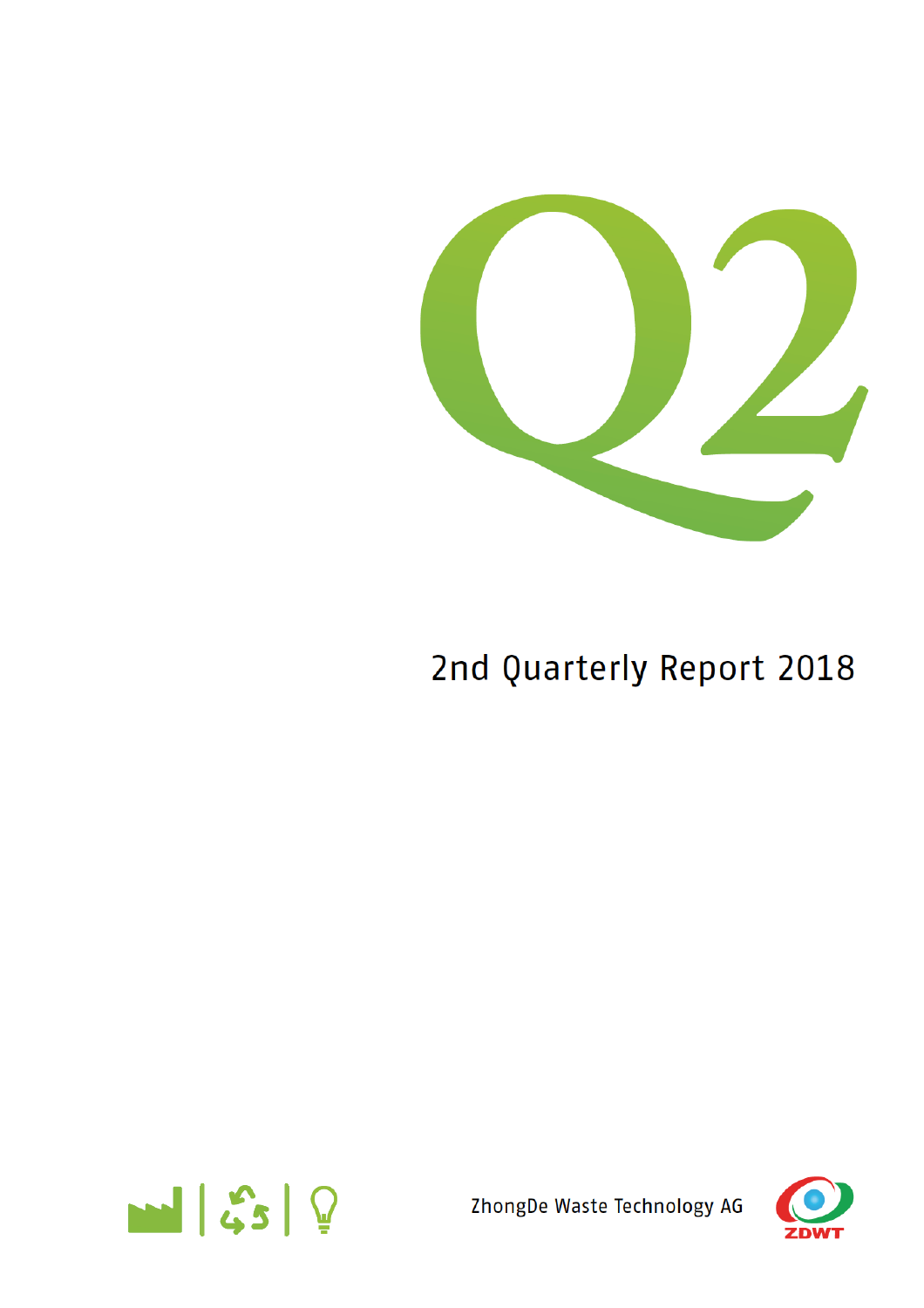

# 2nd Quarterly Report 2018



ZhongDe Waste Technology AG

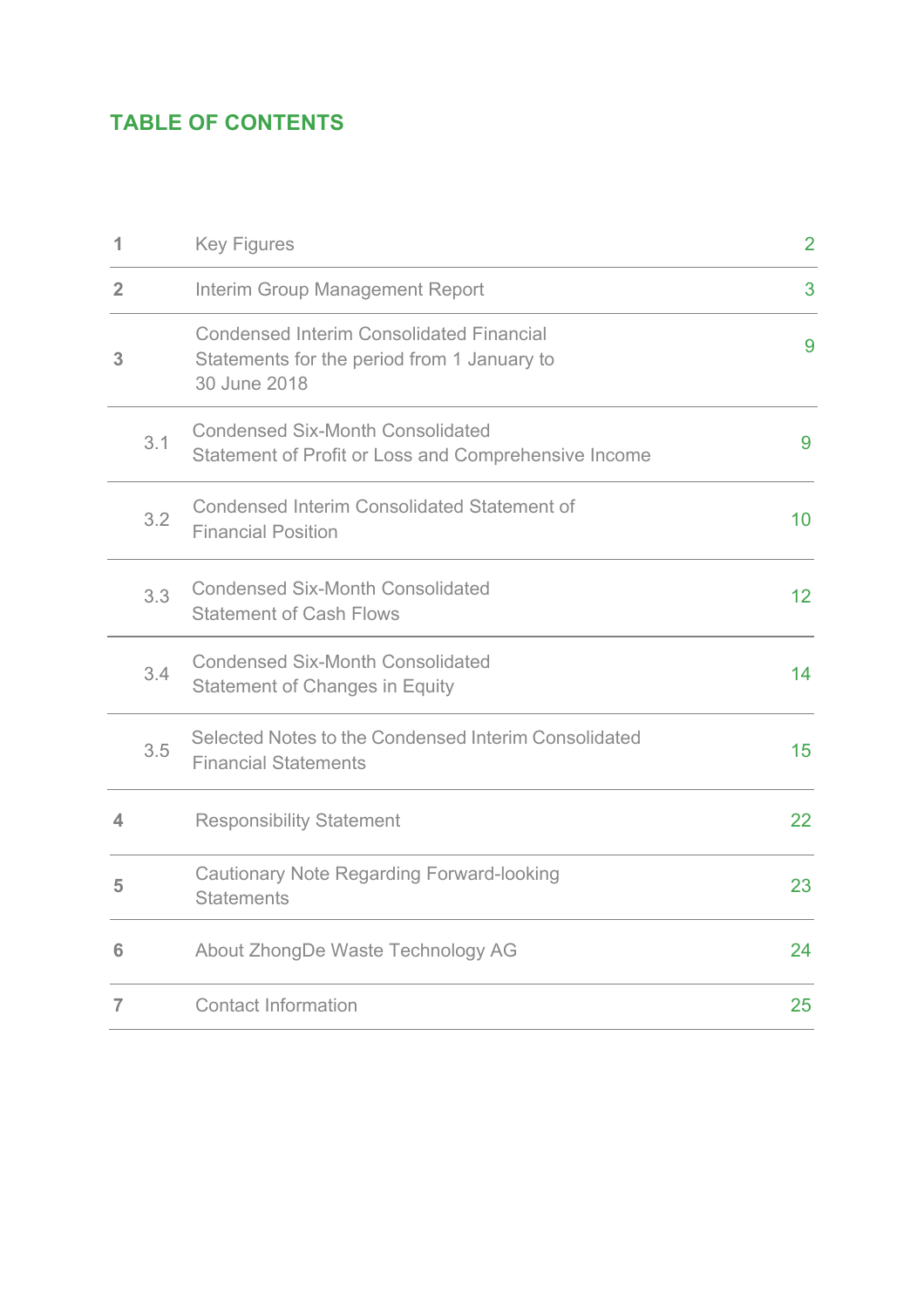# **TABLE OF CONTENTS**

| 1              |     | <b>Key Figures</b>                                                                                             | $\overline{2}$ |
|----------------|-----|----------------------------------------------------------------------------------------------------------------|----------------|
| $\overline{2}$ |     | Interim Group Management Report                                                                                | 3              |
| 3              |     | <b>Condensed Interim Consolidated Financial</b><br>Statements for the period from 1 January to<br>30 June 2018 | 9              |
|                | 3.1 | <b>Condensed Six-Month Consolidated</b><br>Statement of Profit or Loss and Comprehensive Income                | 9              |
|                | 3.2 | <b>Condensed Interim Consolidated Statement of</b><br><b>Financial Position</b>                                | 10             |
|                | 3.3 | <b>Condensed Six-Month Consolidated</b><br><b>Statement of Cash Flows</b>                                      | 12             |
|                | 3.4 | <b>Condensed Six-Month Consolidated</b><br><b>Statement of Changes in Equity</b>                               | 14             |
|                | 3.5 | Selected Notes to the Condensed Interim Consolidated<br><b>Financial Statements</b>                            | 15             |
| 4              |     | <b>Responsibility Statement</b>                                                                                | 22             |
| 5              |     | <b>Cautionary Note Regarding Forward-looking</b><br><b>Statements</b>                                          | 23             |
| 6              |     | About ZhongDe Waste Technology AG                                                                              | 24             |
| 7              |     | <b>Contact Information</b>                                                                                     | 25             |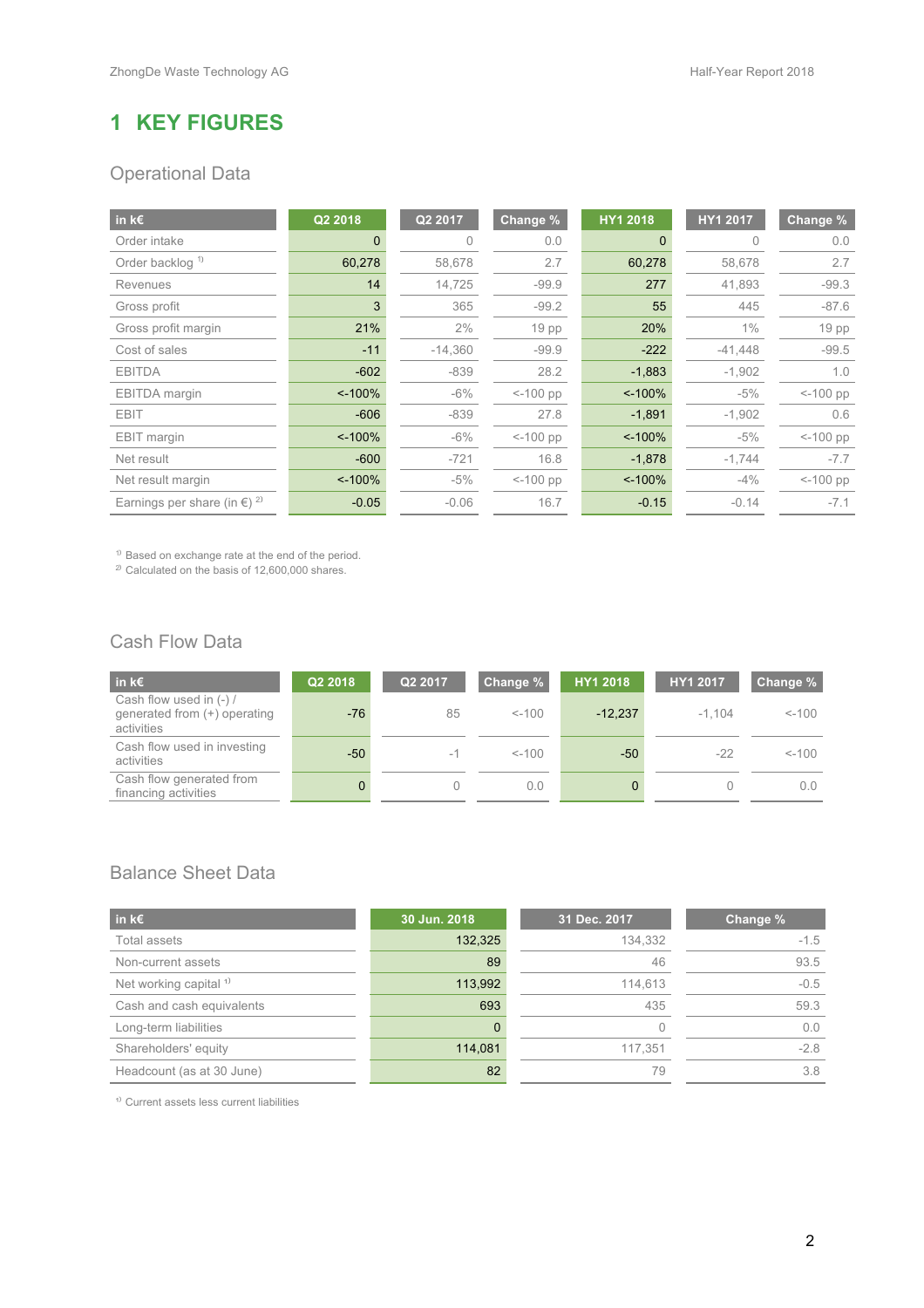# **1 KEY FIGURES**

# Operational Data

| in $k \in$                                        | Q2 2018  | Q2 2017   | Change %         | HY1 2018 | HY1 2017  | Change %         |
|---------------------------------------------------|----------|-----------|------------------|----------|-----------|------------------|
| Order intake                                      |          | 0         | 0.0              |          |           | 0.0              |
| Order backlog <sup>1)</sup>                       | 60,278   | 58,678    | 2.7              | 60,278   | 58,678    | 2.7              |
| Revenues                                          | 14       | 14,725    | $-99.9$          | 277      | 41,893    | $-99.3$          |
| Gross profit                                      | 3        | 365       | $-99.2$          | 55       | 445       | $-87.6$          |
| Gross profit margin                               | 21%      | 2%        | 19 <sub>pp</sub> | 20%      | $1\%$     | 19 <sub>pp</sub> |
| Cost of sales                                     | $-11$    | $-14,360$ | $-99.9$          | $-222$   | $-41,448$ | $-99.5$          |
| <b>EBITDA</b>                                     | $-602$   | $-839$    | 28.2             | $-1,883$ | $-1,902$  | 1.0              |
| EBITDA margin                                     | $~100\%$ | $-6\%$    | $< -100$ pp      | $~100\%$ | $-5%$     | $< -100$ pp      |
| <b>EBIT</b>                                       | $-606$   | $-839$    | 27.8             | $-1,891$ | $-1,902$  | 0.6              |
| EBIT margin                                       | $~100\%$ | $-6\%$    | $< -100$ pp      | $~100\%$ | $-5%$     | $< -100$ pp      |
| Net result                                        | $-600$   | $-721$    | 16.8             | $-1,878$ | $-1,744$  | $-7.7$           |
| Net result margin                                 | $~100\%$ | $-5%$     | $< -100$ pp      | $~100\%$ | $-4%$     | $< -100$ pp      |
| Earnings per share (in $\epsilon$ ) <sup>2)</sup> | $-0.05$  | $-0.06$   | 16.7             | $-0.15$  | $-0.14$   | $-7.1$           |

<sup>1)</sup> Based on exchange rate at the end of the period.

 $^{2)}$  Calculated on the basis of 12,600,000 shares.

# Cash Flow Data

| in k $\epsilon$                                                       | Q2 2018 | Q2 2017 | Change % | HY1 2018  | HY1 2017 | Change %      |
|-----------------------------------------------------------------------|---------|---------|----------|-----------|----------|---------------|
| Cash flow used in (-) /<br>generated from (+) operating<br>activities | $-76$   | 85      | $< -100$ | $-12.237$ | $-1.104$ | $< -100$      |
| Cash flow used in investing<br>activities                             | $-50$   | $-1$    | $< -100$ | -50       | $-22$    | $< -100$      |
| Cash flow generated from<br>financing activities                      | 0       |         | 0.0      |           |          | $0.0^{\circ}$ |

### Balance Sheet Data

| in k $\epsilon$                   | 30 Jun. 2018 | 31 Dec. 2017 | Change % |
|-----------------------------------|--------------|--------------|----------|
| Total assets                      | 132,325      | 134,332      | $-1.5$   |
| Non-current assets                | 89           | 46           | 93.5     |
| Net working capital <sup>1)</sup> | 113,992      | 114,613      | $-0.5$   |
| Cash and cash equivalents         | 693          | 435          | 59.3     |
| Long-term liabilities             | 0            |              | 0.0      |
| Shareholders' equity              | 114,081      | 117.351      | $-2.8$   |
| Headcount (as at 30 June)         | 82           | 79           | 3.8      |

<sup>1)</sup> Current assets less current liabilities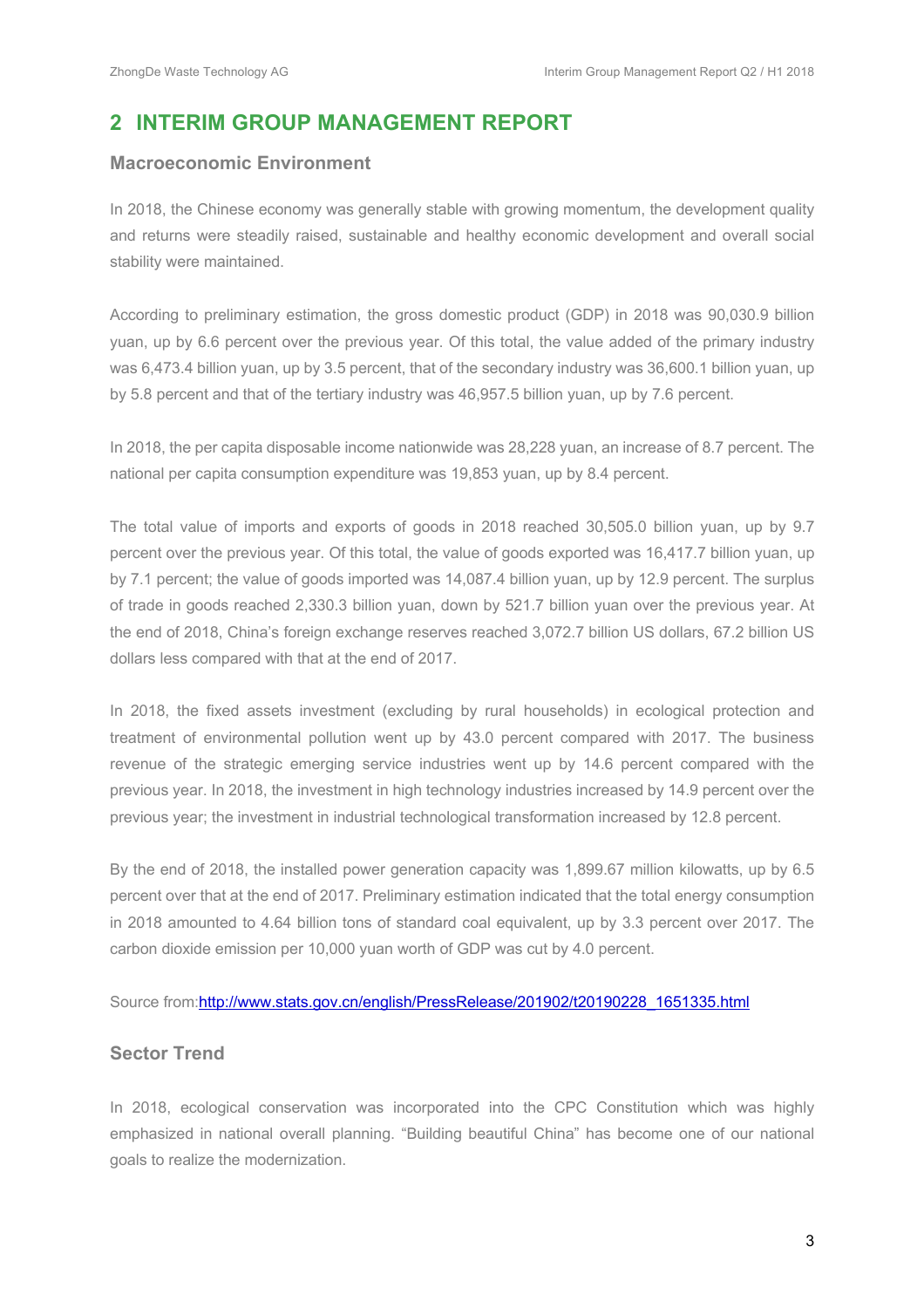# **2 INTERIM GROUP MANAGEMENT REPORT**

#### **Macroeconomic Environment**

In 2018, the Chinese economy was generally stable with growing momentum, the development quality and returns were steadily raised, sustainable and healthy economic development and overall social stability were maintained.

According to preliminary estimation, the gross domestic product (GDP) in 2018 was 90,030.9 billion yuan, up by 6.6 percent over the previous year. Of this total, the value added of the primary industry was 6,473.4 billion yuan, up by 3.5 percent, that of the secondary industry was 36,600.1 billion yuan, up by 5.8 percent and that of the tertiary industry was 46,957.5 billion yuan, up by 7.6 percent.

In 2018, the per capita disposable income nationwide was 28,228 yuan, an increase of 8.7 percent. The national per capita consumption expenditure was 19,853 yuan, up by 8.4 percent.

The total value of imports and exports of goods in 2018 reached 30,505.0 billion yuan, up by 9.7 percent over the previous year. Of this total, the value of goods exported was 16,417.7 billion yuan, up by 7.1 percent; the value of goods imported was 14,087.4 billion yuan, up by 12.9 percent. The surplus of trade in goods reached 2,330.3 billion yuan, down by 521.7 billion yuan over the previous year. At the end of 2018, China's foreign exchange reserves reached 3,072.7 billion US dollars, 67.2 billion US dollars less compared with that at the end of 2017.

In 2018, the fixed assets investment (excluding by rural households) in ecological protection and treatment of environmental pollution went up by 43.0 percent compared with 2017. The business revenue of the strategic emerging service industries went up by 14.6 percent compared with the previous year. In 2018, the investment in high technology industries increased by 14.9 percent over the previous year; the investment in industrial technological transformation increased by 12.8 percent.

By the end of 2018, the installed power generation capacity was 1,899.67 million kilowatts, up by 6.5 percent over that at the end of 2017. Preliminary estimation indicated that the total energy consumption in 2018 amounted to 4.64 billion tons of standard coal equivalent, up by 3.3 percent over 2017. The carbon dioxide emission per 10,000 yuan worth of GDP was cut by 4.0 percent.

#### Source from:http://www.stats.gov.cn/english/PressRelease/201902/t20190228\_1651335.html

### **Sector Trend**

In 2018, ecological conservation was incorporated into the CPC Constitution which was highly emphasized in national overall planning. "Building beautiful China" has become one of our national goals to realize the modernization.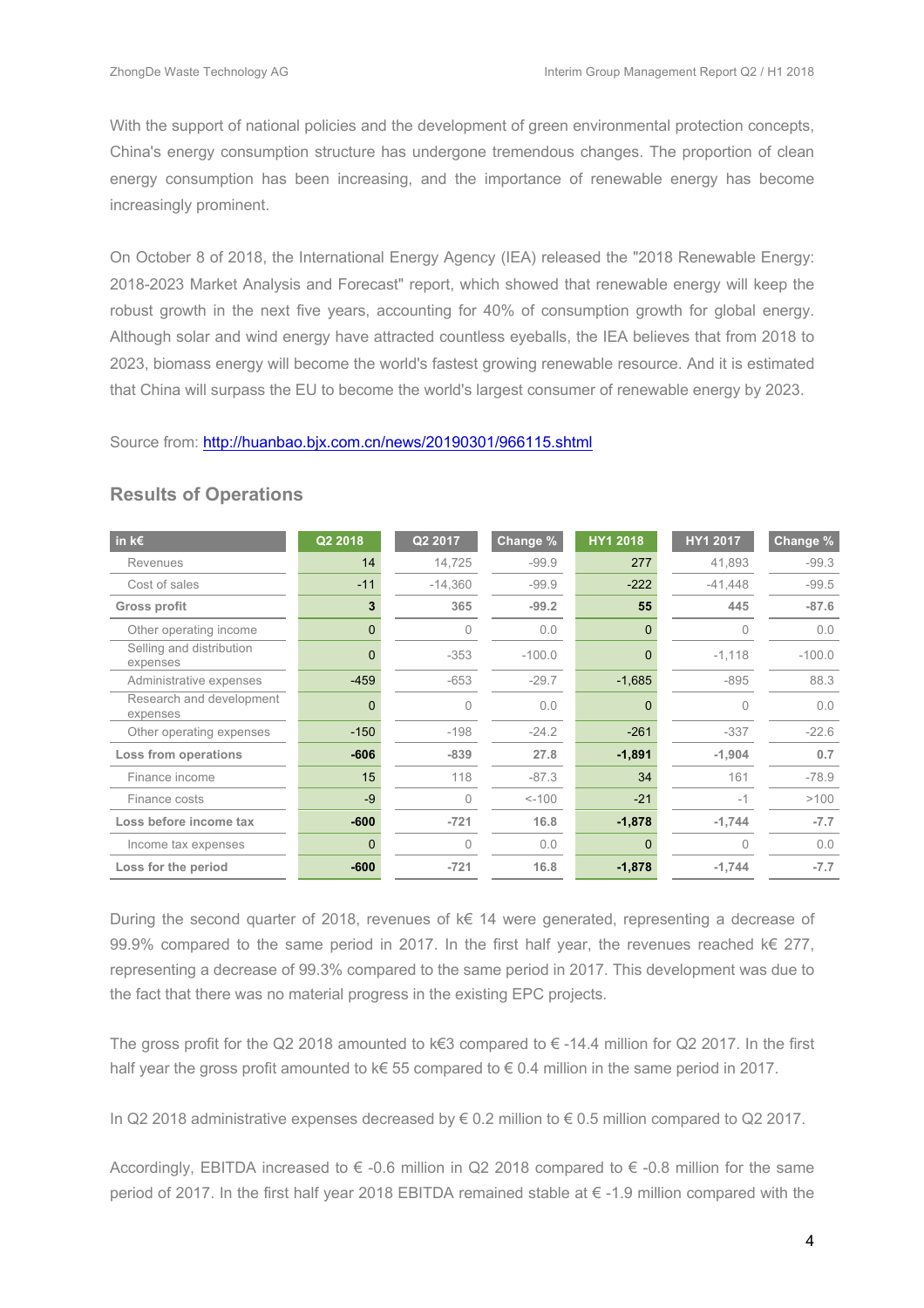With the support of national policies and the development of green environmental protection concepts, China's energy consumption structure has undergone tremendous changes. The proportion of clean energy consumption has been increasing, and the importance of renewable energy has become increasingly prominent.

On October 8 of 2018, the International Energy Agency (IEA) released the "2018 Renewable Energy: 2018-2023 Market Analysis and Forecast" report, which showed that renewable energy will keep the robust growth in the next five years, accounting for 40% of consumption growth for global energy. Although solar and wind energy have attracted countless eyeballs, the IEA believes that from 2018 to 2023, biomass energy will become the world's fastest growing renewable resource. And it is estimated that China will surpass the EU to become the world's largest consumer of renewable energy by 2023.

Source from: http://huanbao.bjx.com.cn/news/20190301/966115.shtml

| in $k \in$                           | Q2 2018        | Q2 2017   | Change % | <b>HY1 2018</b> | HY1 2017  | Change % |
|--------------------------------------|----------------|-----------|----------|-----------------|-----------|----------|
| Revenues                             | 14             | 14,725    | $-99.9$  | 277             | 41.893    | $-99.3$  |
| Cost of sales                        | $-11$          | $-14,360$ | $-99.9$  | $-222$          | $-41,448$ | $-99.5$  |
| <b>Gross profit</b>                  | 3              | 365       | $-99.2$  | 55              | 445       | $-87.6$  |
| Other operating income               | $\overline{0}$ | 0         | 0.0      | $\mathbf{0}$    | 0         | 0.0      |
| Selling and distribution<br>expenses | $\Omega$       | $-353$    | $-100.0$ | $\Omega$        | $-1,118$  | $-100.0$ |
| Administrative expenses              | $-459$         | $-653$    | $-29.7$  | $-1,685$        | $-895$    | 88.3     |
| Research and development<br>expenses | $\Omega$       | $\Omega$  | 0.0      | $\Omega$        | U         | 0.0      |
| Other operating expenses             | $-150$         | $-198$    | $-24.2$  | $-261$          | $-337$    | $-22.6$  |
| Loss from operations                 | $-606$         | $-839$    | 27.8     | $-1,891$        | $-1.904$  | 0.7      |
| Finance income                       | 15             | 118       | $-87.3$  | 34              | 161       | $-78.9$  |
| Finance costs                        | $-9$           | $\Omega$  | $< -100$ | $-21$           | $-1$      | >100     |
| Loss before income tax               | $-600$         | $-721$    | 16.8     | $-1,878$        | $-1,744$  | $-7.7$   |
| Income tax expenses                  | $\Omega$       | 0         | 0.0      | $\Omega$        | 0         | 0.0      |
| Loss for the period                  | $-600$         | $-721$    | 16.8     | $-1,878$        | $-1,744$  | $-7.7$   |

#### **Results of Operations**

During the second quarter of 2018, revenues of k€ 14 were generated, representing a decrease of 99.9% compared to the same period in 2017. In the first half year, the revenues reached  $k \in 277$ , representing a decrease of 99.3% compared to the same period in 2017. This development was due to the fact that there was no material progress in the existing EPC projects.

The gross profit for the Q2 2018 amounted to k€3 compared to € -14.4 million for Q2 2017. In the first half year the gross profit amounted to k€ 55 compared to € 0.4 million in the same period in 2017.

In Q2 2018 administrative expenses decreased by € 0.2 million to € 0.5 million compared to Q2 2017.

Accordingly, EBITDA increased to  $\epsilon$  -0.6 million in Q2 2018 compared to  $\epsilon$  -0.8 million for the same period of 2017. In the first half year 2018 EBITDA remained stable at € -1.9 million compared with the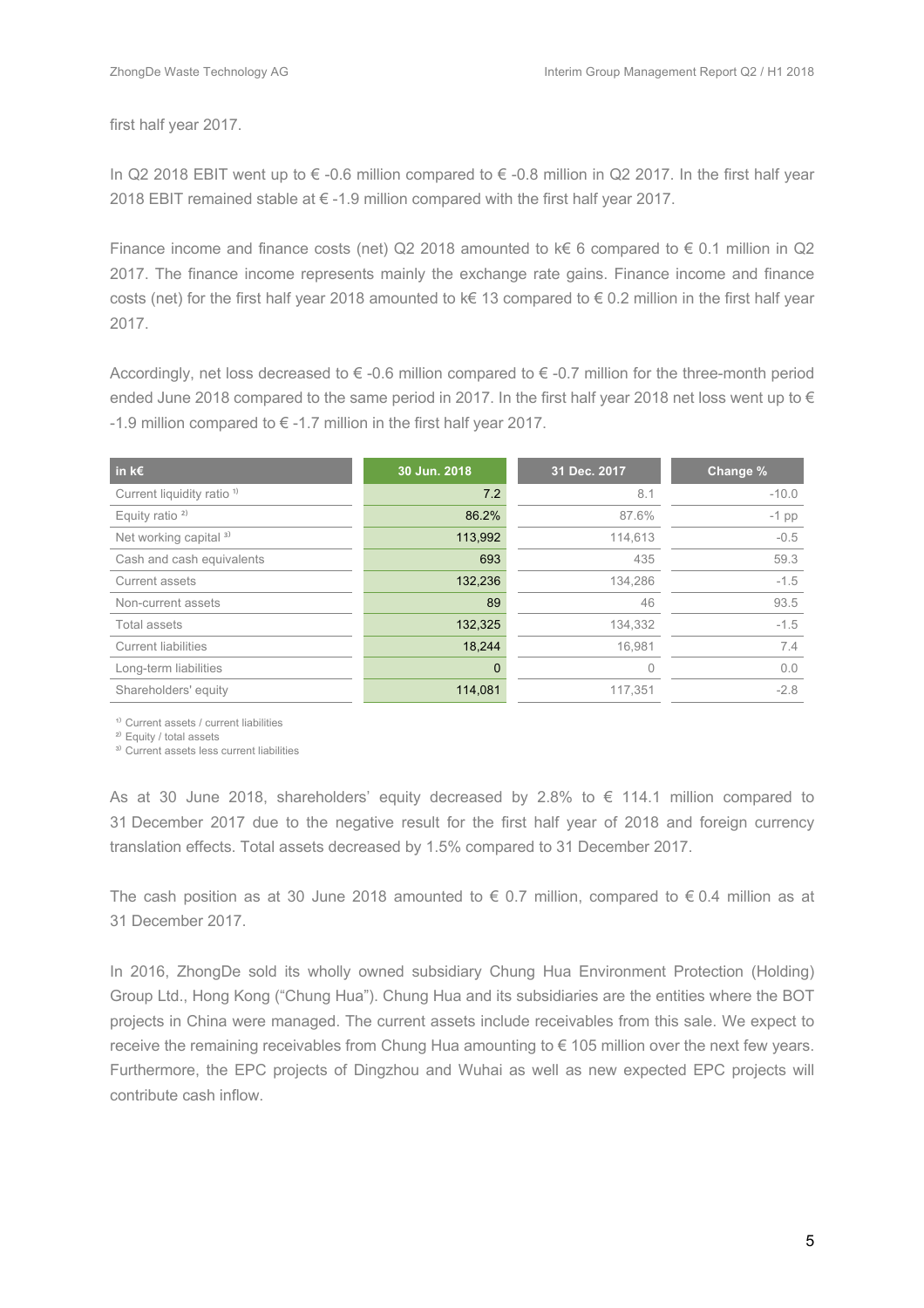first half year 2017.

In Q2 2018 EBIT went up to  $\epsilon$  -0.6 million compared to  $\epsilon$  -0.8 million in Q2 2017. In the first half year 2018 EBIT remained stable at € -1.9 million compared with the first half year 2017.

Finance income and finance costs (net) Q2 2018 amounted to  $k \in 6$  compared to  $\in 0.1$  million in Q2 2017. The finance income represents mainly the exchange rate gains. Finance income and finance costs (net) for the first half year 2018 amounted to k€ 13 compared to € 0.2 million in the first half year 2017.

Accordingly, net loss decreased to  $\epsilon$  -0.6 million compared to  $\epsilon$  -0.7 million for the three-month period ended June 2018 compared to the same period in 2017. In the first half year 2018 net loss went up to  $\in$ -1.9 million compared to  $\epsilon$  -1.7 million in the first half year 2017.

| in k $\epsilon$                       | 30 Jun. 2018 | 31 Dec. 2017 | Change % |
|---------------------------------------|--------------|--------------|----------|
| Current liquidity ratio <sup>1)</sup> | 7.2          | 8.1          | $-10.0$  |
| Equity ratio $2$                      | 86.2%        | 87.6%        | $-1$ pp  |
| Net working capital <sup>3)</sup>     | 113,992      | 114,613      | $-0.5$   |
| Cash and cash equivalents             | 693          | 435          | 59.3     |
| Current assets                        | 132,236      | 134,286      | $-1.5$   |
| Non-current assets                    | 89           | 46           | 93.5     |
| Total assets                          | 132,325      | 134,332      | $-1.5$   |
| <b>Current liabilities</b>            | 18,244       | 16.981       | 7.4      |
| Long-term liabilities                 | $\Omega$     | $\Omega$     | 0.0      |
| Shareholders' equity                  | 114,081      | 117,351      | $-2.8$   |

<sup>1)</sup> Current assets / current liabilities

<sup>2)</sup> Equity / total assets

<sup>3)</sup> Current assets less current liabilities

As at 30 June 2018, shareholders' equity decreased by 2.8% to  $\epsilon$  114.1 million compared to 31 December 2017 due to the negative result for the first half year of 2018 and foreign currency translation effects. Total assets decreased by 1.5% compared to 31 December 2017.

The cash position as at 30 June 2018 amounted to  $\epsilon$  0.7 million, compared to  $\epsilon$  0.4 million as at 31 December 2017.

In 2016, ZhongDe sold its wholly owned subsidiary Chung Hua Environment Protection (Holding) Group Ltd., Hong Kong ("Chung Hua"). Chung Hua and its subsidiaries are the entities where the BOT projects in China were managed. The current assets include receivables from this sale. We expect to receive the remaining receivables from Chung Hua amounting to € 105 million over the next few years. Furthermore, the EPC projects of Dingzhou and Wuhai as well as new expected EPC projects will contribute cash inflow.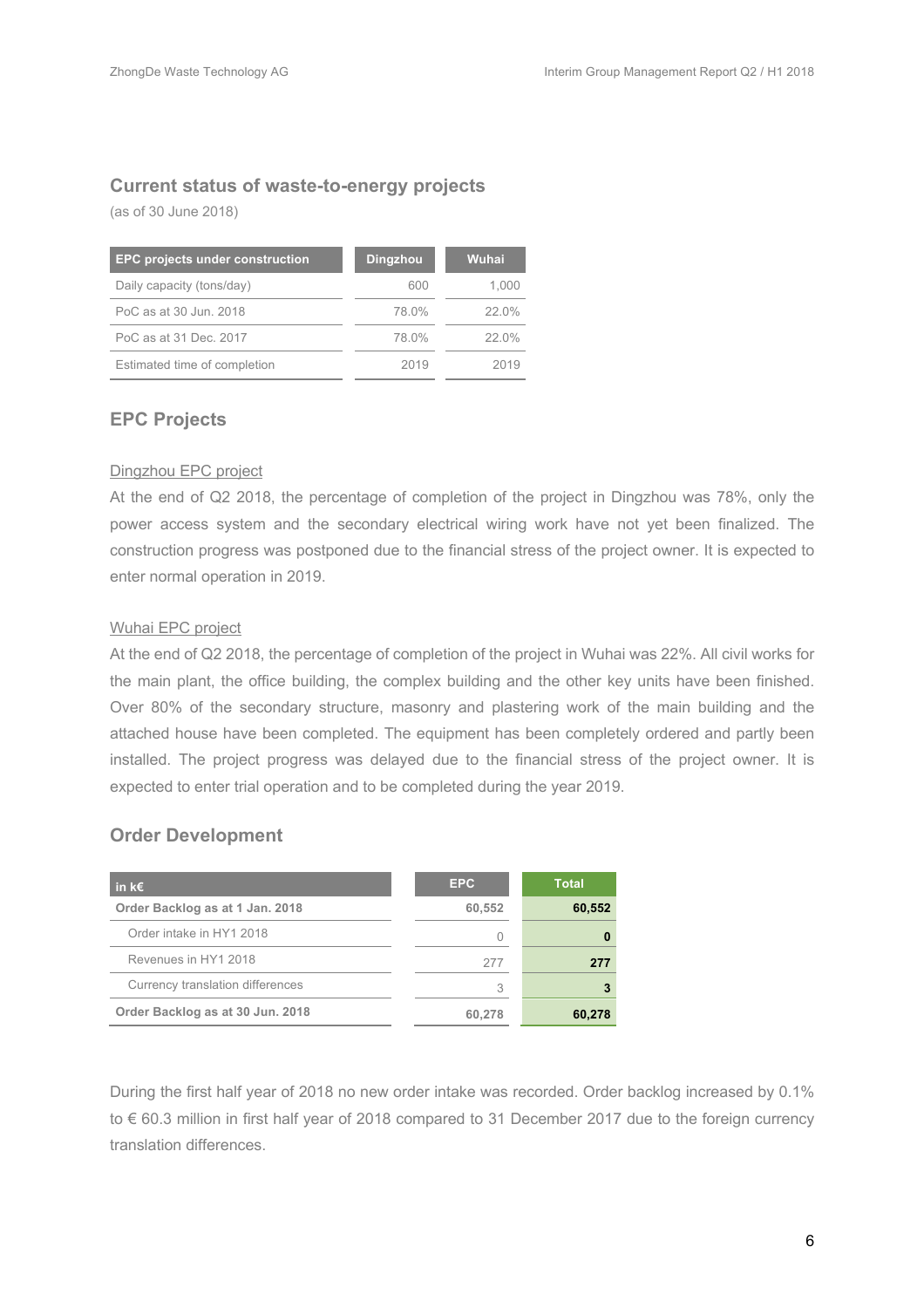### **Current status of waste-to-energy projects**

(as of 30 June 2018)

| <b>EPC projects under construction</b> | <b>Dingzhou</b> | Wuhai |
|----------------------------------------|-----------------|-------|
| Daily capacity (tons/day)              | 600             | 1.000 |
| PoC as at 30 Jun. 2018                 | 78.0%           | 22.0% |
| PoC as at 31 Dec. 2017                 | 78.0%           | 22.0% |
| Estimated time of completion           | 2019            | 2019  |

#### **EPC Projects**

#### Dingzhou EPC project

At the end of Q2 2018, the percentage of completion of the project in Dingzhou was 78%, only the power access system and the secondary electrical wiring work have not yet been finalized. The construction progress was postponed due to the financial stress of the project owner. It is expected to enter normal operation in 2019.

#### Wuhai EPC project

At the end of Q2 2018, the percentage of completion of the project in Wuhai was 22%. All civil works for the main plant, the office building, the complex building and the other key units have been finished. Over 80% of the secondary structure, masonry and plastering work of the main building and the attached house have been completed. The equipment has been completely ordered and partly been installed. The project progress was delayed due to the financial stress of the project owner. It is expected to enter trial operation and to be completed during the year 2019.

#### **Order Development**

| in k $\epsilon$                  | EPC.   | <b>Total</b> |
|----------------------------------|--------|--------------|
| Order Backlog as at 1 Jan. 2018  | 60,552 | 60,552       |
| Order intake in HY1 2018         |        |              |
| Revenues in HY1 2018             | 277    | 277          |
| Currency translation differences | 3      |              |
| Order Backlog as at 30 Jun. 2018 | 60.278 | 60.278       |

During the first half year of 2018 no new order intake was recorded. Order backlog increased by 0.1% to € 60.3 million in first half year of 2018 compared to 31 December 2017 due to the foreign currency translation differences.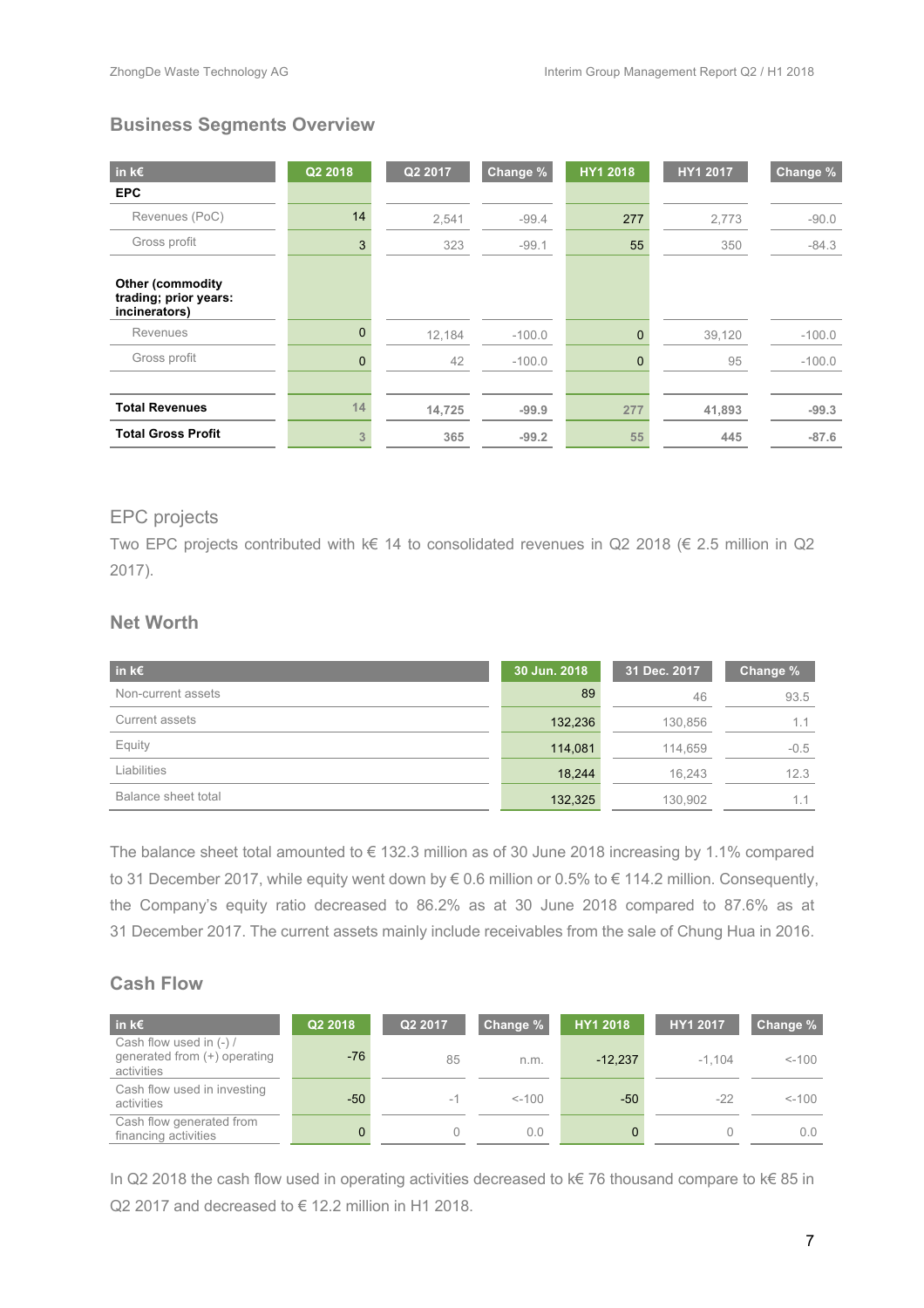### **Business Segments Overview**

| in $k \in$                                                        | Q2 2018  | Q2 2017 | Change % | <b>HY1 2018</b> | HY1 2017 | Change % |
|-------------------------------------------------------------------|----------|---------|----------|-----------------|----------|----------|
| <b>EPC</b>                                                        |          |         |          |                 |          |          |
| Revenues (PoC)                                                    | 14       | 2,541   | $-99.4$  | 277             | 2,773    | $-90.0$  |
| Gross profit                                                      | 3        | 323     | $-99.1$  | 55              | 350      | $-84.3$  |
| <b>Other (commodity</b><br>trading; prior years:<br>incinerators) |          |         |          |                 |          |          |
| Revenues                                                          | $\Omega$ | 12,184  | $-100.0$ | $\mathbf{0}$    | 39,120   | $-100.0$ |
| Gross profit                                                      | $\Omega$ | 42      | $-100.0$ | $\overline{0}$  | 95       | $-100.0$ |
|                                                                   |          |         |          |                 |          |          |
| <b>Total Revenues</b>                                             | 14       | 14,725  | $-99.9$  | 277             | 41,893   | $-99.3$  |
| <b>Total Gross Profit</b>                                         | 3        | 365     | $-99.2$  | 55              | 445      | $-87.6$  |

### EPC projects

Two EPC projects contributed with k€ 14 to consolidated revenues in Q2 2018 (€ 2.5 million in Q2 2017).

### **Net Worth**

| in k $\epsilon$     | 30 Jun. 2018 | 31 Dec. 2017 | Change % |
|---------------------|--------------|--------------|----------|
| Non-current assets  | 89           | 46           | 93.5     |
| Current assets      | 132,236      | 130,856      |          |
| Equity              | 114,081      | 114,659      | $-0.5$   |
| Liabilities         | 18,244       | 16.243       | 12.3     |
| Balance sheet total | 132,325      | 130.902      | 1.1      |

The balance sheet total amounted to € 132.3 million as of 30 June 2018 increasing by 1.1% compared to 31 December 2017, while equity went down by € 0.6 million or 0.5% to € 114.2 million. Consequently, the Company's equity ratio decreased to 86.2% as at 30 June 2018 compared to 87.6% as at 31 December 2017. The current assets mainly include receivables from the sale of Chung Hua in 2016.

### **Cash Flow**

| ⊟in k€ <sup>i</sup>                                                   | Q2 2018 | Q2 2017 | Change % | HY1 2018  | HY1 2017 | Change % |
|-----------------------------------------------------------------------|---------|---------|----------|-----------|----------|----------|
| Cash flow used in (-) /<br>generated from (+) operating<br>activities | $-76$   | 85      | n.m.     | $-12.237$ | $-1.104$ | $< -100$ |
| Cash flow used in investing<br>activities                             | $-50$   | $-1$    | $< -100$ | $-50$     | $-22$    | $< -100$ |
| Cash flow generated from<br>financing activities                      | 0       |         | 0.0      |           |          | 0.0      |

In Q2 2018 the cash flow used in operating activities decreased to k€ 76 thousand compare to k€ 85 in Q2 2017 and decreased to € 12.2 million in H1 2018.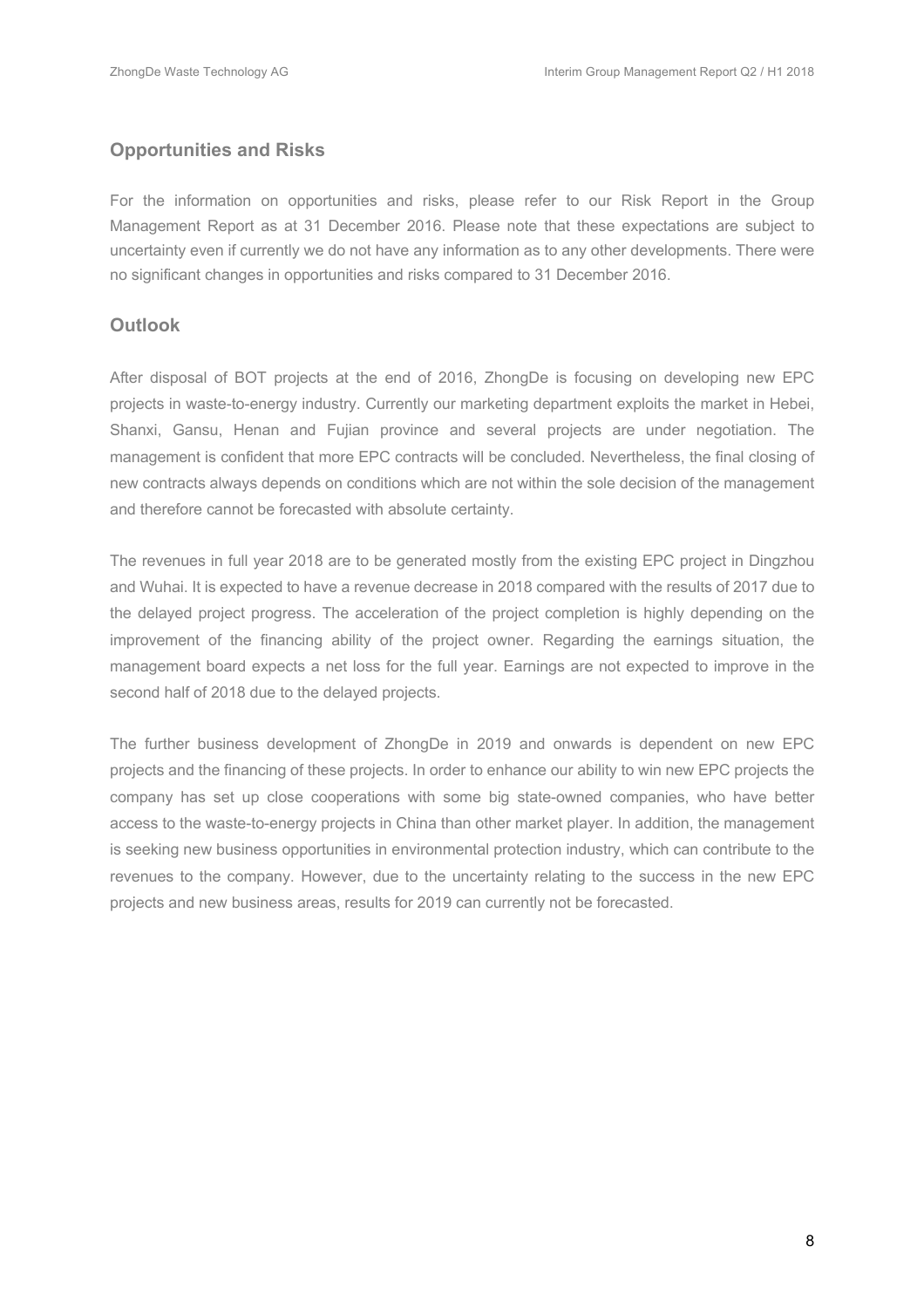### **Opportunities and Risks**

For the information on opportunities and risks, please refer to our Risk Report in the Group Management Report as at 31 December 2016. Please note that these expectations are subject to uncertainty even if currently we do not have any information as to any other developments. There were no significant changes in opportunities and risks compared to 31 December 2016.

#### **Outlook**

After disposal of BOT projects at the end of 2016, ZhongDe is focusing on developing new EPC projects in waste-to-energy industry. Currently our marketing department exploits the market in Hebei, Shanxi, Gansu, Henan and Fujian province and several projects are under negotiation. The management is confident that more EPC contracts will be concluded. Nevertheless, the final closing of new contracts always depends on conditions which are not within the sole decision of the management and therefore cannot be forecasted with absolute certainty.

The revenues in full year 2018 are to be generated mostly from the existing EPC project in Dingzhou and Wuhai. It is expected to have a revenue decrease in 2018 compared with the results of 2017 due to the delayed project progress. The acceleration of the project completion is highly depending on the improvement of the financing ability of the project owner. Regarding the earnings situation, the management board expects a net loss for the full year. Earnings are not expected to improve in the second half of 2018 due to the delayed projects.

The further business development of ZhongDe in 2019 and onwards is dependent on new EPC projects and the financing of these projects. In order to enhance our ability to win new EPC projects the company has set up close cooperations with some big state-owned companies, who have better access to the waste-to-energy projects in China than other market player. In addition, the management is seeking new business opportunities in environmental protection industry, which can contribute to the revenues to the company. However, due to the uncertainty relating to the success in the new EPC projects and new business areas, results for 2019 can currently not be forecasted.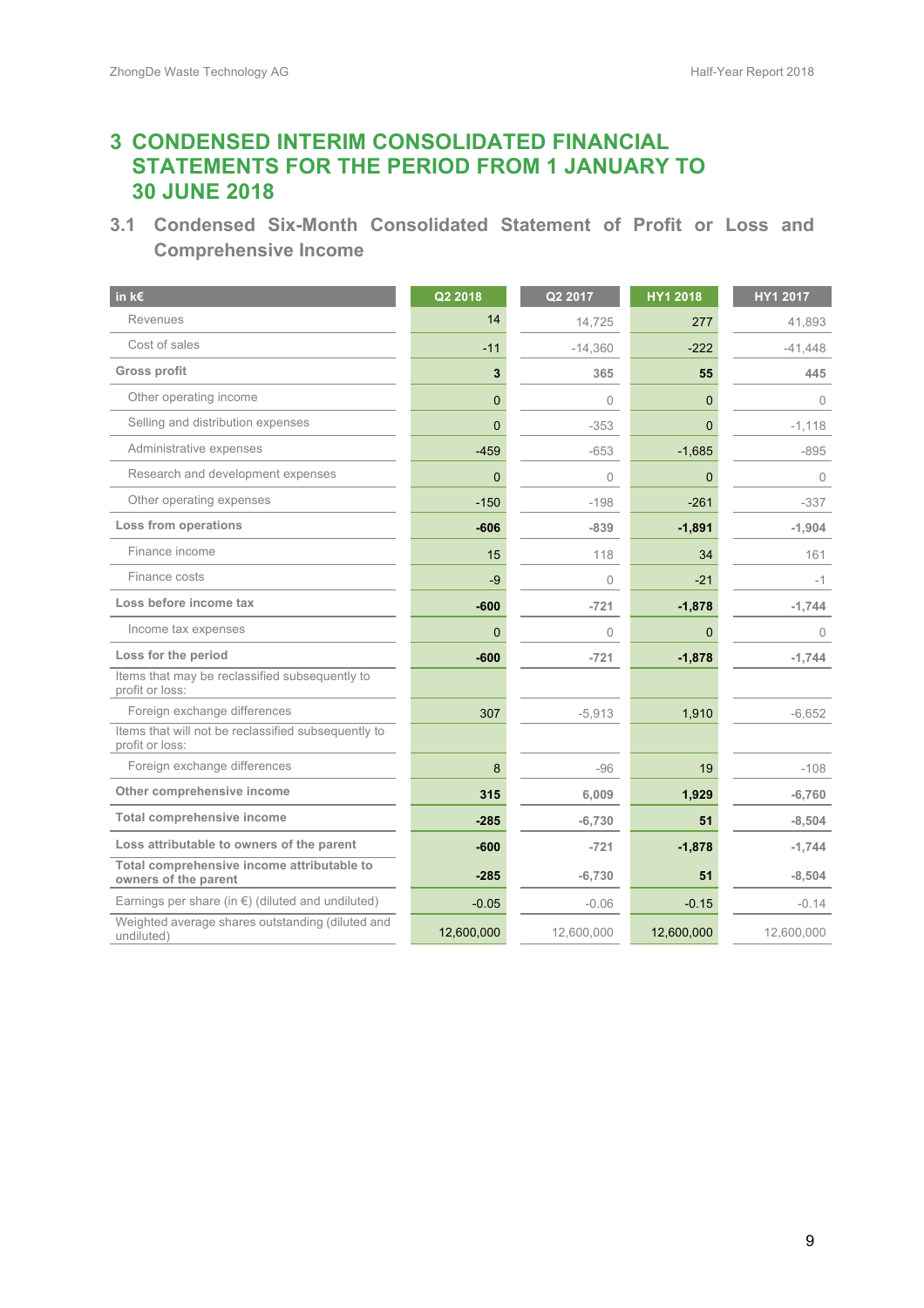# **3 CONDENSED INTERIM CONSOLIDATED FINANCIAL STATEMENTS FOR THE PERIOD FROM 1 JANUARY TO 30 JUNE 2018**

**3.1 Condensed Six-Month Consolidated Statement of Profit or Loss and Comprehensive Income**

| in k€                                                                  | Q2 2018      | Q2 2017    | HY1 2018       | HY1 2017   |
|------------------------------------------------------------------------|--------------|------------|----------------|------------|
| Revenues                                                               | 14           | 14,725     | 277            | 41,893     |
| Cost of sales                                                          | $-11$        | $-14,360$  | $-222$         | $-41,448$  |
| <b>Gross profit</b>                                                    | 3            | 365        | 55             | 445        |
| Other operating income                                                 | $\mathbf{0}$ | $\Omega$   | $\overline{0}$ | $\bigcap$  |
| Selling and distribution expenses                                      | $\mathbf 0$  | $-353$     | $\mathbf{0}$   | $-1,118$   |
| Administrative expenses                                                | $-459$       | $-653$     | $-1,685$       | $-895$     |
| Research and development expenses                                      | $\mathbf{0}$ | $\sqrt{a}$ | $\mathbf{0}$   | $\Omega$   |
| Other operating expenses                                               | $-150$       | $-198$     | $-261$         | $-337$     |
| <b>Loss from operations</b>                                            | $-606$       | $-839$     | $-1,891$       | $-1,904$   |
| Finance income                                                         | 15           | 118        | 34             | 161        |
| Finance costs                                                          | -9           | $\Omega$   | $-21$          | $-1$       |
| Loss before income tax                                                 | $-600$       | $-721$     | $-1,878$       | $-1,744$   |
| Income tax expenses                                                    | $\Omega$     | $\Omega$   | $\Omega$       | $\bigcap$  |
| Loss for the period                                                    | $-600$       | $-721$     | $-1,878$       | $-1.744$   |
| Items that may be reclassified subsequently to<br>profit or loss:      |              |            |                |            |
| Foreign exchange differences                                           | 307          | $-5,913$   | 1,910          | $-6.652$   |
| Items that will not be reclassified subsequently to<br>profit or loss: |              |            |                |            |
| Foreign exchange differences                                           | 8            | $-96$      | 19             | $-108$     |
| Other comprehensive income                                             | 315          | 6,009      | 1,929          | $-6,760$   |
| <b>Total comprehensive income</b>                                      | $-285$       | $-6,730$   | 51             | $-8,504$   |
| Loss attributable to owners of the parent                              | $-600$       | $-721$     | $-1,878$       | $-1,744$   |
| Total comprehensive income attributable to<br>owners of the parent     | $-285$       | $-6,730$   | 51             | $-8,504$   |
| Earnings per share (in $\epsilon$ ) (diluted and undiluted)            | $-0.05$      | $-0.06$    | $-0.15$        | $-0.14$    |
| Weighted average shares outstanding (diluted and<br>undiluted)         | 12,600,000   | 12,600,000 | 12,600,000     | 12,600,000 |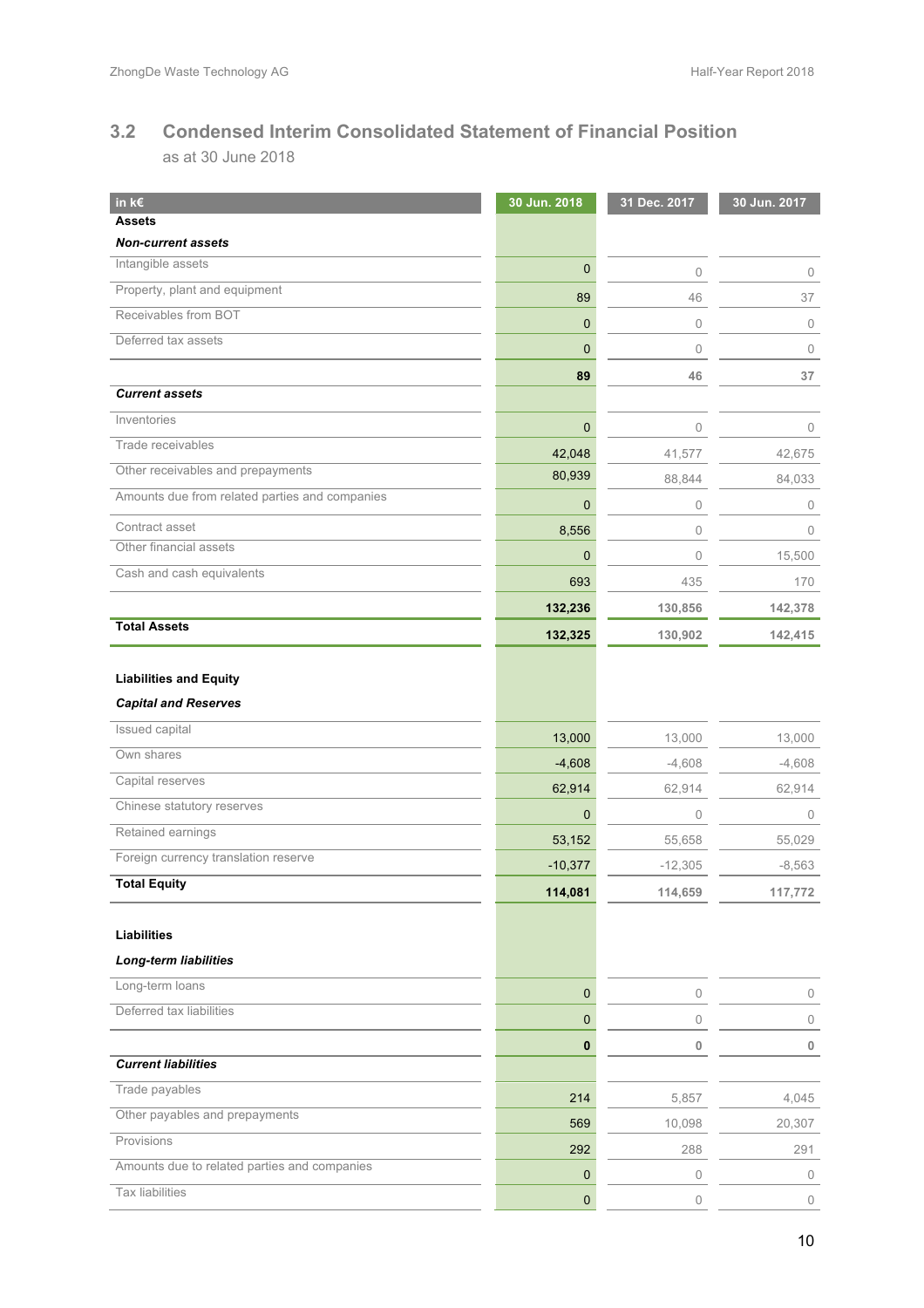# **3.2 Condensed Interim Consolidated Statement of Financial Position**

as at 30 June 2018

| in k $\epsilon$                                | 30 Jun. 2018     | 31 Dec. 2017 | 30 Jun. 2017 |
|------------------------------------------------|------------------|--------------|--------------|
| <b>Assets</b>                                  |                  |              |              |
| <b>Non-current assets</b><br>Intangible assets |                  |              |              |
| Property, plant and equipment                  | $\mathbf 0$      | $\mathbb O$  | 0            |
| Receivables from BOT                           | 89               | 46           | 37           |
| Deferred tax assets                            | $\mathbf 0$      | $\mathbb O$  | $\mathbf{0}$ |
|                                                | $\mathbf 0$      | $\mathbf{0}$ | $\mathbf{0}$ |
|                                                | 89               | 46           | 37           |
| <b>Current assets</b>                          |                  |              |              |
| Inventories                                    | $\mathbf{0}$     | $\mathbf{0}$ | $\mathbf{0}$ |
| Trade receivables                              | 42,048           | 41,577       | 42,675       |
| Other receivables and prepayments              | 80,939           | 88,844       | 84,033       |
| Amounts due from related parties and companies | $\mathbf 0$      | $\mathbb O$  | 0            |
| Contract asset                                 | 8,556            | $\mathbf 0$  | $\Omega$     |
| Other financial assets                         | $\mathbf 0$      | $\mathbf 0$  | 15,500       |
| Cash and cash equivalents                      | 693              | 435          | 170          |
|                                                | 132,236          | 130,856      | 142,378      |
| <b>Total Assets</b>                            | 132,325          | 130,902      | 142,415      |
|                                                |                  |              |              |
| <b>Liabilities and Equity</b>                  |                  |              |              |
| <b>Capital and Reserves</b>                    |                  |              |              |
| Issued capital                                 | 13,000           | 13,000       | 13,000       |
| Own shares                                     | $-4,608$         | $-4,608$     | $-4,608$     |
| Capital reserves                               | 62,914           | 62,914       | 62,914       |
| Chinese statutory reserves                     | $\mathbf 0$      | 0            | $\mathbf 0$  |
| Retained earnings                              | 53,152           | 55,658       | 55,029       |
| Foreign currency translation reserve           | $-10,377$        | $-12,305$    | $-8,563$     |
| <b>Total Equity</b>                            | 114,081          | 114,659      | 117,772      |
|                                                |                  |              |              |
| <b>Liabilities</b>                             |                  |              |              |
| <b>Long-term liabilities</b>                   |                  |              |              |
| Long-term loans                                | $\bf{0}$         | 0            | $\circ$      |
| Deferred tax liabilities                       | 0                | 0            | $\mathbf{0}$ |
|                                                | $\bf{0}$         | 0            | 0            |
| <b>Current liabilities</b>                     |                  |              |              |
| Trade payables                                 |                  |              |              |
| Other payables and prepayments                 | 214              | 5,857        | 4,045        |
| Provisions                                     | 569              | 10,098       | 20,307       |
| Amounts due to related parties and companies   | 292              | 288          | 291          |
| <b>Tax liabilities</b>                         | $\boldsymbol{0}$ | 0            | 0            |
|                                                | $\mathbf 0$      | 0            | 0            |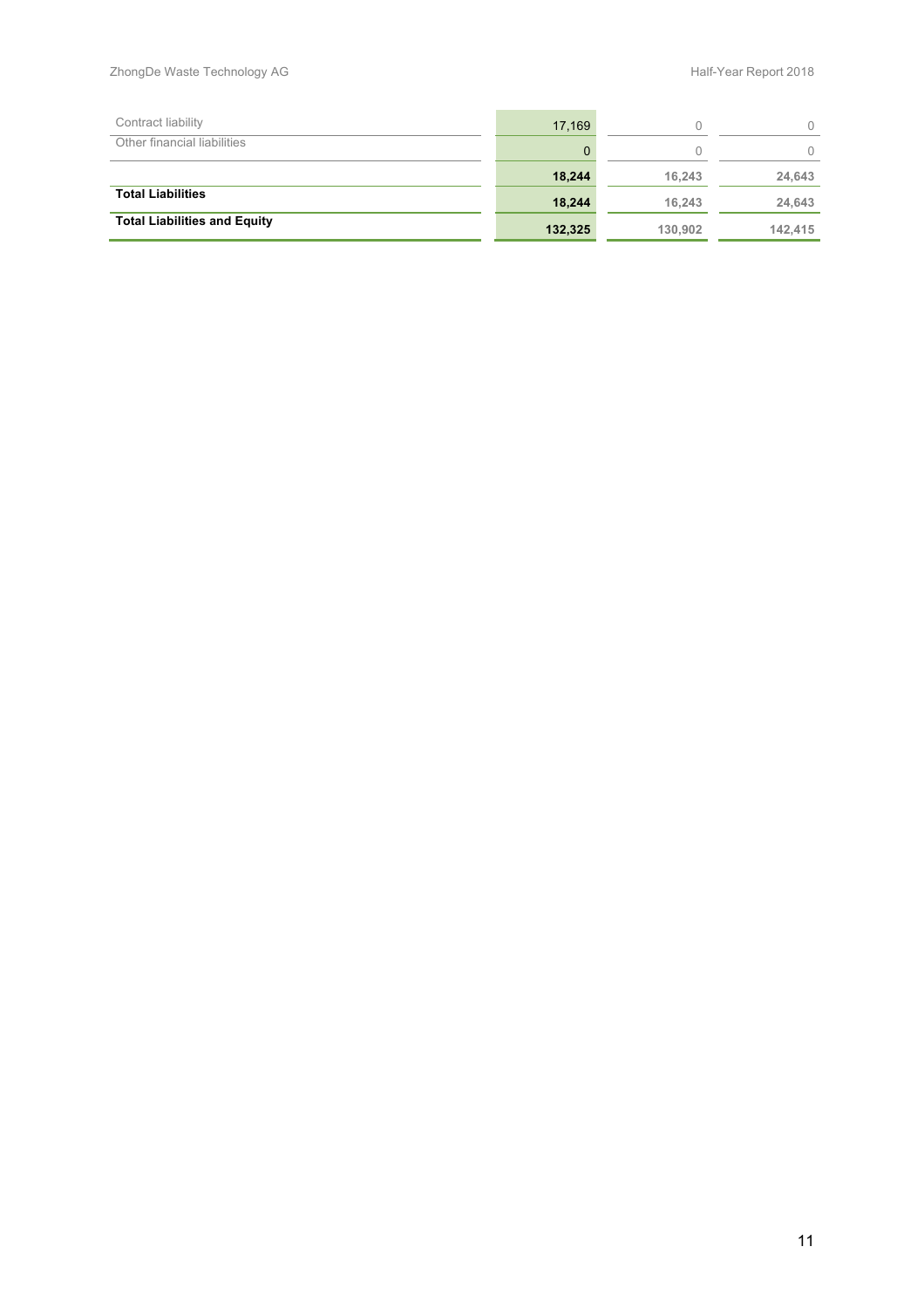| Contract liability                  | 17,169  |         |         |
|-------------------------------------|---------|---------|---------|
| Other financial liabilities         | 0       |         |         |
|                                     | 18.244  | 16.243  | 24,643  |
| <b>Total Liabilities</b>            | 18.244  | 16.243  | 24.643  |
| <b>Total Liabilities and Equity</b> | 132,325 | 130.902 | 142.415 |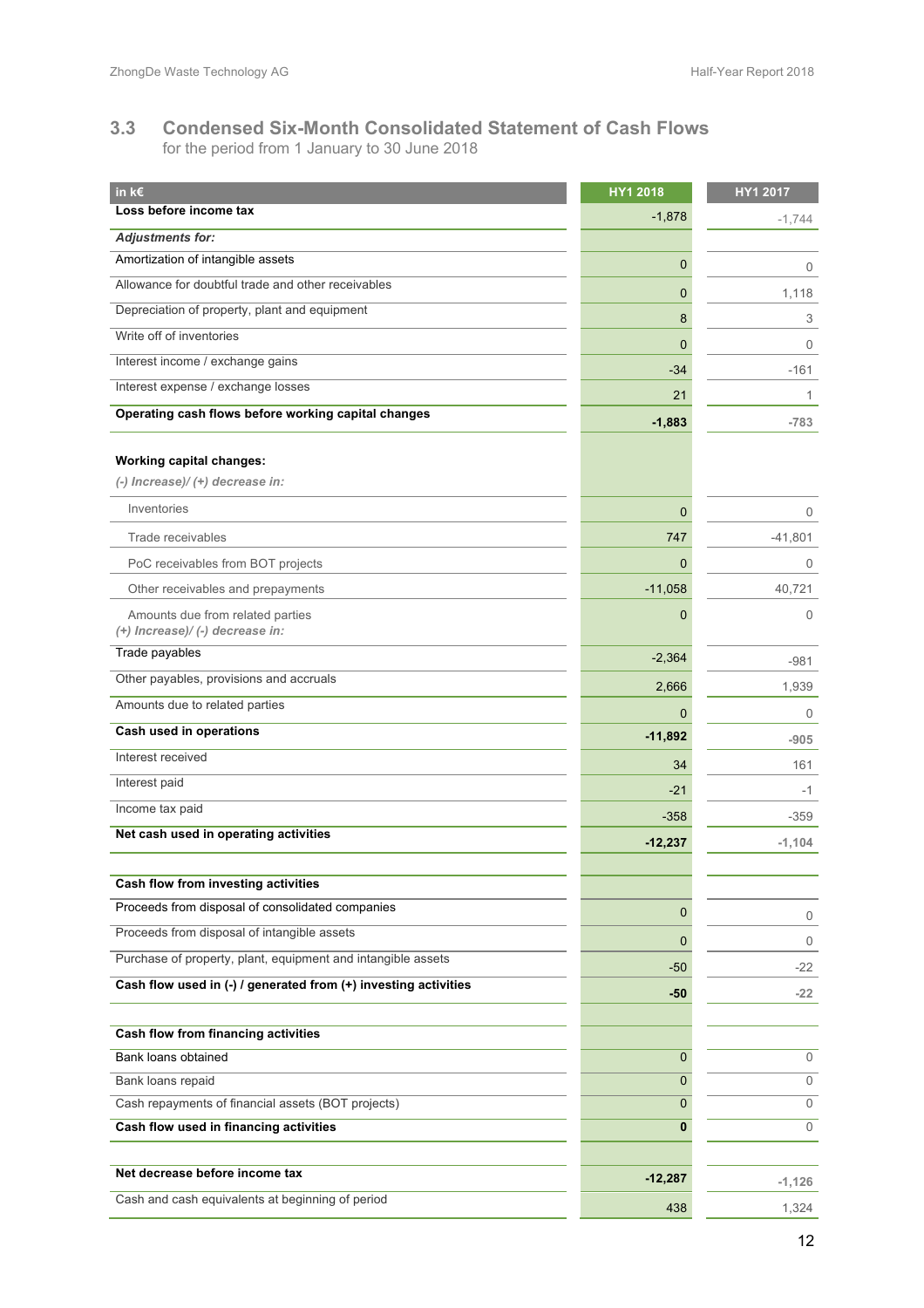#### **3.3 Condensed Six-Month Consolidated Statement of Cash Flows** for the period from 1 January to 30 June 2018

| in k€                                                               | HY1 2018  | HY1 2017     |
|---------------------------------------------------------------------|-----------|--------------|
| Loss before income tax                                              | $-1,878$  | $-1,744$     |
| <b>Adjustments for:</b>                                             |           |              |
| Amortization of intangible assets                                   | 0         | 0            |
| Allowance for doubtful trade and other receivables                  | 0         | 1,118        |
| Depreciation of property, plant and equipment                       | 8         | 3            |
| Write off of inventories                                            | 0         | 0            |
| Interest income / exchange gains                                    | $-34$     | $-161$       |
| Interest expense / exchange losses                                  | 21        | $\mathbf{1}$ |
| Operating cash flows before working capital changes                 | $-1,883$  | $-783$       |
| <b>Working capital changes:</b><br>(-) Increase)/(+) decrease in:   |           |              |
| Inventories                                                         | 0         | 0            |
| Trade receivables                                                   | 747       | $-41,801$    |
| PoC receivables from BOT projects                                   | 0         | 0            |
| Other receivables and prepayments                                   | $-11,058$ | 40,721       |
| Amounts due from related parties<br>(+) Increase)/ (-) decrease in: | 0         | $\Omega$     |
| Trade payables                                                      | $-2,364$  | $-981$       |
| Other payables, provisions and accruals                             | 2,666     | 1,939        |
| Amounts due to related parties                                      | 0         | 0            |
| Cash used in operations                                             | $-11,892$ | $-905$       |
| Interest received                                                   | 34        | 161          |
| Interest paid                                                       | $-21$     | -1           |
| Income tax paid                                                     | $-358$    | $-359$       |
| Net cash used in operating activities                               | $-12,237$ | $-1,104$     |
|                                                                     |           |              |
| Cash flow from investing activities                                 |           |              |
| Proceeds from disposal of consolidated companies                    | 0         | 0            |
| Proceeds from disposal of intangible assets                         | 0         | 0            |
| Purchase of property, plant, equipment and intangible assets        | $-50$     | -22          |
| Cash flow used in (-) / generated from (+) investing activities     | $-50$     | $-22$        |
| Cash flow from financing activities                                 |           |              |
| Bank loans obtained                                                 | 0         | $\mathbf{0}$ |
| Bank loans repaid                                                   | 0         | $\mathbf{0}$ |
| Cash repayments of financial assets (BOT projects)                  | 0         | $\mathbf{0}$ |
| Cash flow used in financing activities                              | 0         | $\mathbf{0}$ |
| Net decrease before income tax                                      | $-12,287$ | $-1,126$     |
| Cash and cash equivalents at beginning of period                    | 438       | 1,324        |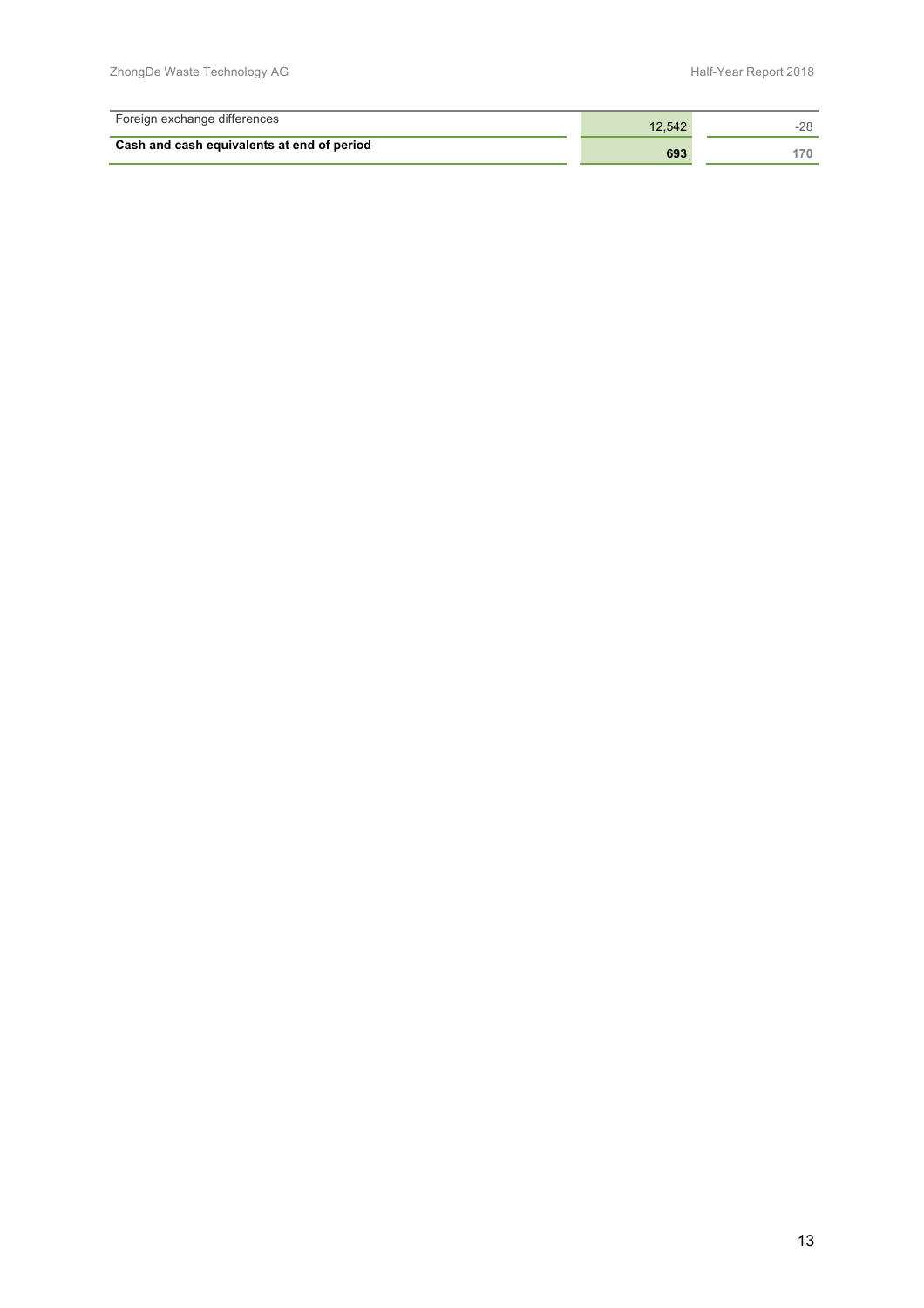| Foreign exchange differences               | 12.542 |  |
|--------------------------------------------|--------|--|
| Cash and cash equivalents at end of period | 693    |  |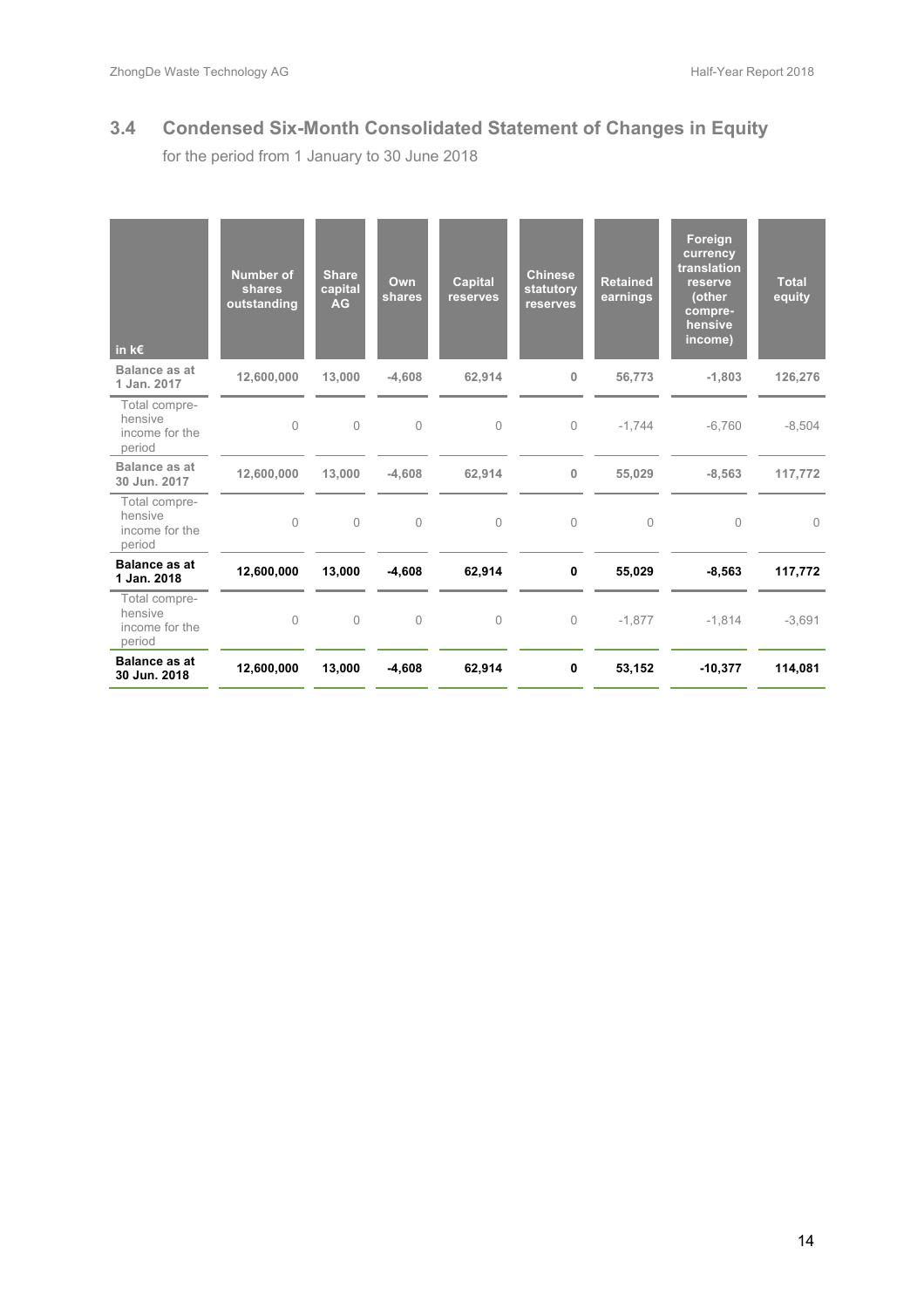# **3.4 Condensed Six-Month Consolidated Statement of Changes in Equity**

for the period from 1 January to 30 June 2018

| in $k \in$                                           | <b>Number of</b><br>shares<br>outstanding | <b>Share</b><br>capital<br><b>AG</b> | Own<br>shares  | <b>Capital</b><br>reserves | <b>Chinese</b><br>statutory<br>reserves | <b>Retained</b><br>earnings | Foreign<br>currency<br>translation<br>reserve<br>(other<br>compre-<br>hensive<br>income) | <b>Total</b><br>equity |
|------------------------------------------------------|-------------------------------------------|--------------------------------------|----------------|----------------------------|-----------------------------------------|-----------------------------|------------------------------------------------------------------------------------------|------------------------|
| Balance as at<br>1 Jan. 2017                         | 12,600,000                                | 13,000                               | $-4,608$       | 62,914                     | $\bf{0}$                                | 56,773                      | $-1,803$                                                                                 | 126,276                |
| Total compre-<br>hensive<br>income for the<br>period | $\bigcap$                                 | $\Omega$                             | $\Omega$       | $\Omega$                   | $\Omega$                                | $-1.744$                    | $-6.760$                                                                                 | $-8,504$               |
| Balance as at<br>30 Jun. 2017                        | 12,600,000                                | 13,000                               | $-4.608$       | 62.914                     | $\mathbf 0$                             | 55,029                      | $-8,563$                                                                                 | 117,772                |
| Total compre-<br>hensive<br>income for the<br>period | $\Omega$                                  | $\Omega$                             | $\theta$       | $\Omega$                   | $\Omega$                                | $\Omega$                    | $\Omega$                                                                                 | $\Omega$               |
| <b>Balance as at</b><br>1 Jan. 2018                  | 12,600,000                                | 13,000                               | $-4,608$       | 62,914                     | $\mathbf 0$                             | 55,029                      | $-8,563$                                                                                 | 117,772                |
| Total compre-<br>hensive<br>income for the<br>period | $\mathbf 0$                               | $\mathbf 0$                          | $\overline{0}$ | $\mathbf{0}$               | $\circ$                                 | $-1,877$                    | $-1,814$                                                                                 | $-3,691$               |
| <b>Balance as at</b><br>30 Jun. 2018                 | 12,600,000                                | 13,000                               | $-4,608$       | 62,914                     | 0                                       | 53,152                      | $-10,377$                                                                                | 114,081                |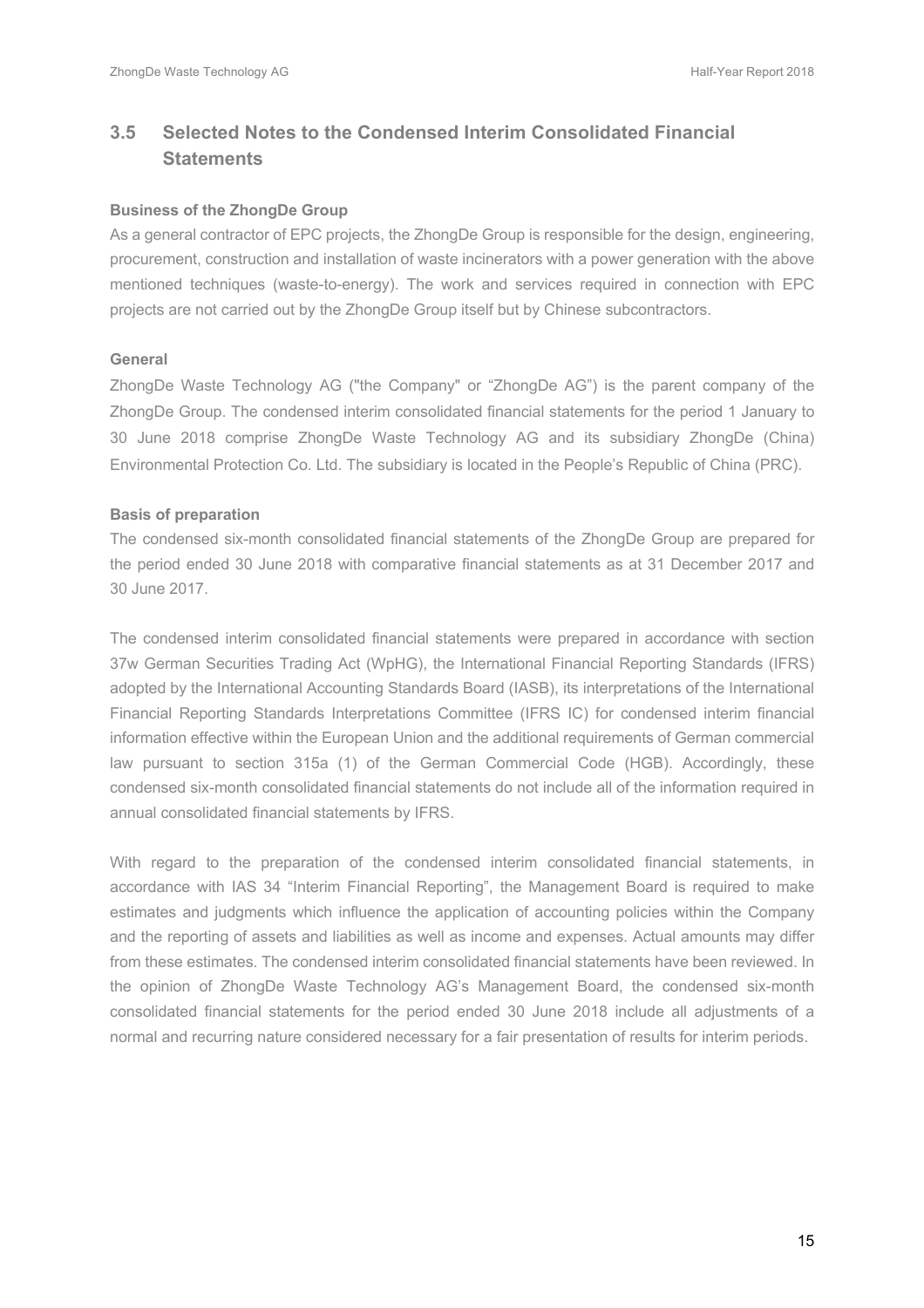# **3.5 Selected Notes to the Condensed Interim Consolidated Financial Statements**

#### **Business of the ZhongDe Group**

As a general contractor of EPC projects, the ZhongDe Group is responsible for the design, engineering, procurement, construction and installation of waste incinerators with a power generation with the above mentioned techniques (waste-to-energy). The work and services required in connection with EPC projects are not carried out by the ZhongDe Group itself but by Chinese subcontractors.

#### **General**

ZhongDe Waste Technology AG ("the Company" or "ZhongDe AG") is the parent company of the ZhongDe Group. The condensed interim consolidated financial statements for the period 1 January to 30 June 2018 comprise ZhongDe Waste Technology AG and its subsidiary ZhongDe (China) Environmental Protection Co. Ltd. The subsidiary is located in the People's Republic of China (PRC).

#### **Basis of preparation**

The condensed six-month consolidated financial statements of the ZhongDe Group are prepared for the period ended 30 June 2018 with comparative financial statements as at 31 December 2017 and 30 June 2017.

The condensed interim consolidated financial statements were prepared in accordance with section 37w German Securities Trading Act (WpHG), the International Financial Reporting Standards (IFRS) adopted by the International Accounting Standards Board (IASB), its interpretations of the International Financial Reporting Standards Interpretations Committee (IFRS IC) for condensed interim financial information effective within the European Union and the additional requirements of German commercial law pursuant to section 315a (1) of the German Commercial Code (HGB). Accordingly, these condensed six-month consolidated financial statements do not include all of the information required in annual consolidated financial statements by IFRS.

With regard to the preparation of the condensed interim consolidated financial statements, in accordance with IAS 34 "Interim Financial Reporting", the Management Board is required to make estimates and judgments which influence the application of accounting policies within the Company and the reporting of assets and liabilities as well as income and expenses. Actual amounts may differ from these estimates. The condensed interim consolidated financial statements have been reviewed. In the opinion of ZhongDe Waste Technology AG's Management Board, the condensed six-month consolidated financial statements for the period ended 30 June 2018 include all adjustments of a normal and recurring nature considered necessary for a fair presentation of results for interim periods.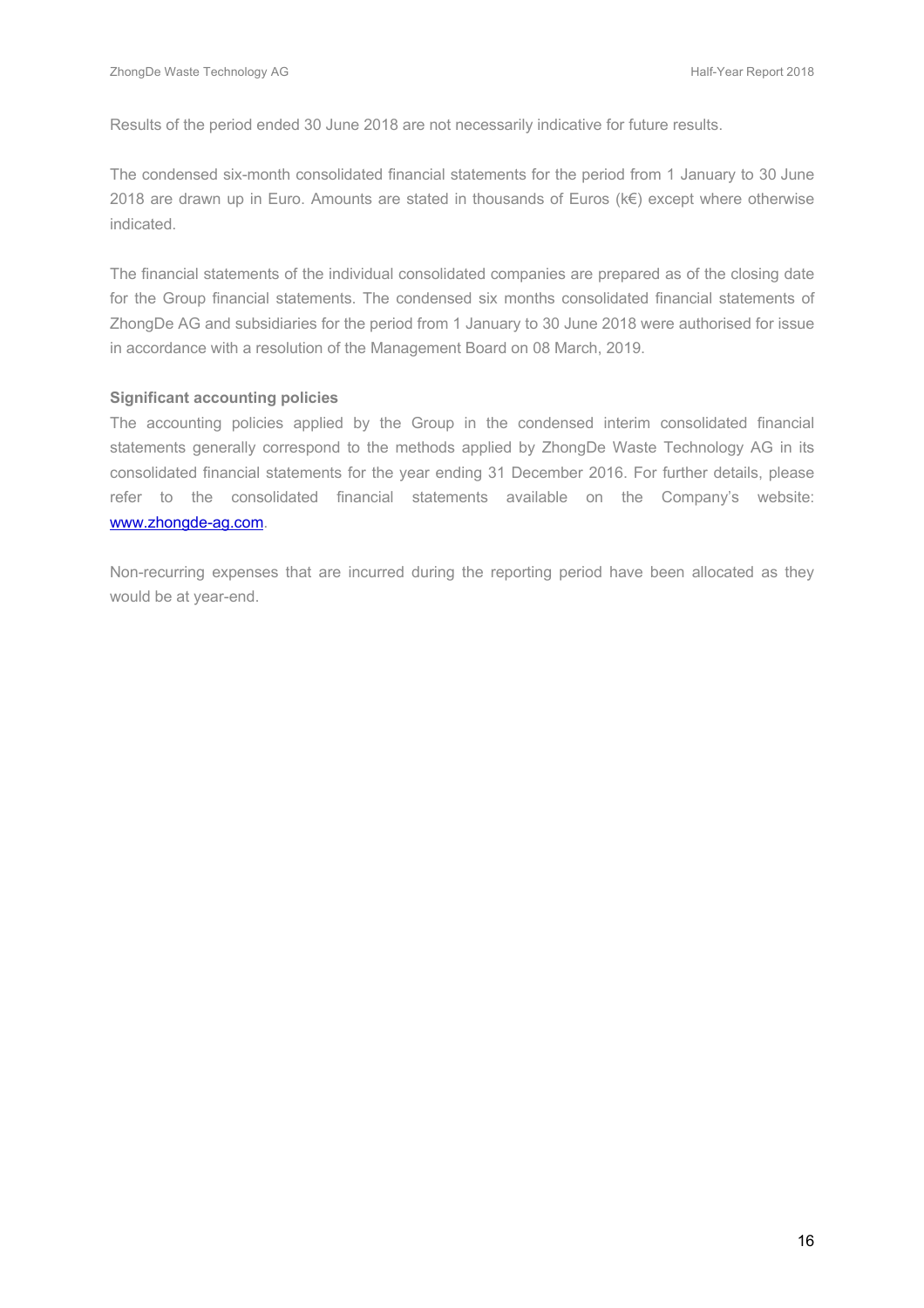Results of the period ended 30 June 2018 are not necessarily indicative for future results.

The condensed six-month consolidated financial statements for the period from 1 January to 30 June 2018 are drawn up in Euro. Amounts are stated in thousands of Euros (k€) except where otherwise indicated.

The financial statements of the individual consolidated companies are prepared as of the closing date for the Group financial statements. The condensed six months consolidated financial statements of ZhongDe AG and subsidiaries for the period from 1 January to 30 June 2018 were authorised for issue in accordance with a resolution of the Management Board on 08 March, 2019.

#### **Significant accounting policies**

The accounting policies applied by the Group in the condensed interim consolidated financial statements generally correspond to the methods applied by ZhongDe Waste Technology AG in its consolidated financial statements for the year ending 31 December 2016. For further details, please refer to the consolidated financial statements available on the Company's website: www.zhongde-ag.com.

Non-recurring expenses that are incurred during the reporting period have been allocated as they would be at year-end.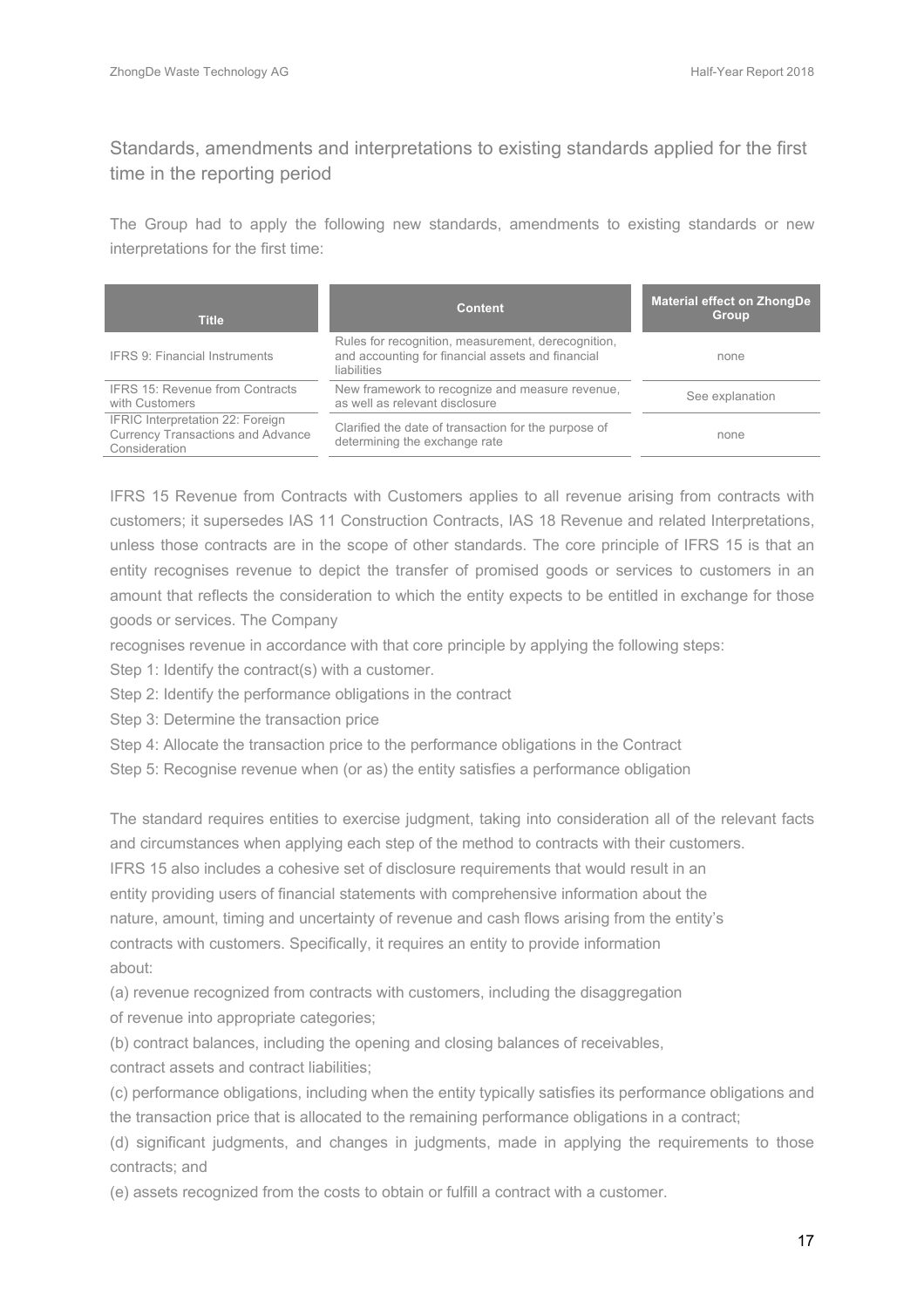### Standards, amendments and interpretations to existing standards applied for the first time in the reporting period

The Group had to apply the following new standards, amendments to existing standards or new interpretations for the first time:

| <b>Title</b>                                                                                  | <b>Content</b>                                                                                                                | <b>Material effect on ZhongDe</b><br><b>Group</b> |
|-----------------------------------------------------------------------------------------------|-------------------------------------------------------------------------------------------------------------------------------|---------------------------------------------------|
| <b>IFRS 9: Financial Instruments</b>                                                          | Rules for recognition, measurement, derecognition,<br>and accounting for financial assets and financial<br><b>liabilities</b> | none                                              |
| <b>IFRS 15: Revenue from Contracts</b><br>with Customers                                      | New framework to recognize and measure revenue,<br>as well as relevant disclosure                                             | See explanation                                   |
| IFRIC Interpretation 22: Foreign<br><b>Currency Transactions and Advance</b><br>Consideration | Clarified the date of transaction for the purpose of<br>determining the exchange rate                                         | none                                              |

IFRS 15 Revenue from Contracts with Customers applies to all revenue arising from contracts with customers; it supersedes IAS 11 Construction Contracts, IAS 18 Revenue and related Interpretations, unless those contracts are in the scope of other standards. The core principle of IFRS 15 is that an entity recognises revenue to depict the transfer of promised goods or services to customers in an amount that reflects the consideration to which the entity expects to be entitled in exchange for those goods or services. The Company

recognises revenue in accordance with that core principle by applying the following steps:

Step 1: Identify the contract(s) with a customer.

Step 2: Identify the performance obligations in the contract

Step 3: Determine the transaction price

Step 4: Allocate the transaction price to the performance obligations in the Contract

Step 5: Recognise revenue when (or as) the entity satisfies a performance obligation

The standard requires entities to exercise judgment, taking into consideration all of the relevant facts and circumstances when applying each step of the method to contracts with their customers. IFRS 15 also includes a cohesive set of disclosure requirements that would result in an entity providing users of financial statements with comprehensive information about the nature, amount, timing and uncertainty of revenue and cash flows arising from the entity's contracts with customers. Specifically, it requires an entity to provide information about:

(a) revenue recognized from contracts with customers, including the disaggregation

of revenue into appropriate categories;

(b) contract balances, including the opening and closing balances of receivables,

contract assets and contract liabilities;

(c) performance obligations, including when the entity typically satisfies its performance obligations and the transaction price that is allocated to the remaining performance obligations in a contract;

(d) significant judgments, and changes in judgments, made in applying the requirements to those contracts; and

(e) assets recognized from the costs to obtain or fulfill a contract with a customer.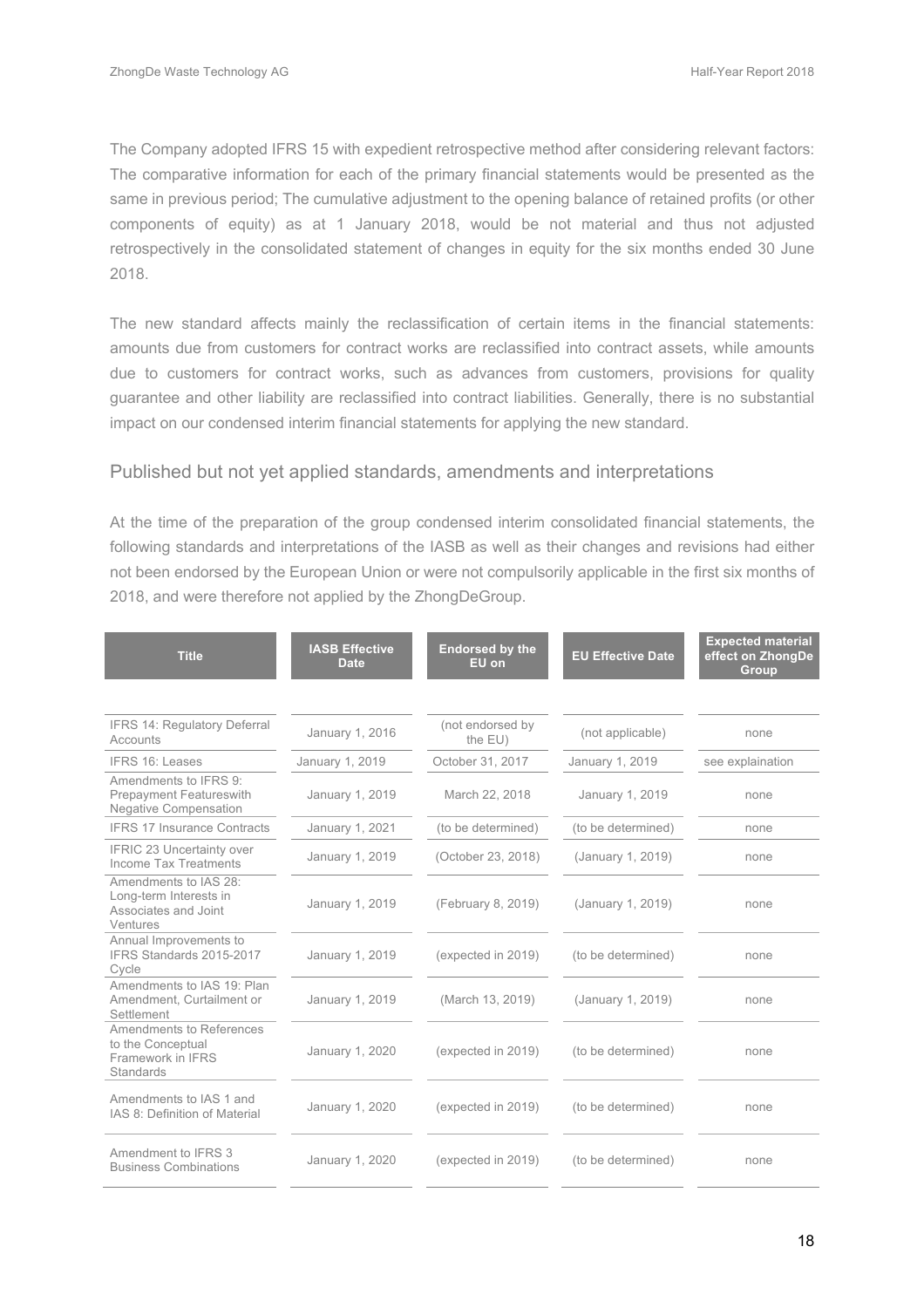The Company adopted IFRS 15 with expedient retrospective method after considering relevant factors: The comparative information for each of the primary financial statements would be presented as the same in previous period; The cumulative adjustment to the opening balance of retained profits (or other components of equity) as at 1 January 2018, would be not material and thus not adjusted retrospectively in the consolidated statement of changes in equity for the six months ended 30 June 2018.

The new standard affects mainly the reclassification of certain items in the financial statements: amounts due from customers for contract works are reclassified into contract assets, while amounts due to customers for contract works, such as advances from customers, provisions for quality guarantee and other liability are reclassified into contract liabilities. Generally, there is no substantial impact on our condensed interim financial statements for applying the new standard.

#### Published but not yet applied standards, amendments and interpretations

At the time of the preparation of the group condensed interim consolidated financial statements, the following standards and interpretations of the IASB as well as their changes and revisions had either not been endorsed by the European Union or were not compulsorily applicable in the first six months of 2018, and were therefore not applied by the ZhongDeGroup.

| <b>Title</b>                                                                            | <b>IASB Effective</b><br>Date | <b>Endorsed by the</b><br>EU on | <b>EU Effective Date</b> | <b>Expected material</b><br>effect on ZhongDe<br><b>Group</b> |
|-----------------------------------------------------------------------------------------|-------------------------------|---------------------------------|--------------------------|---------------------------------------------------------------|
|                                                                                         |                               |                                 |                          |                                                               |
| IFRS 14: Regulatory Deferral<br>Accounts                                                | January 1, 2016               | (not endorsed by<br>the EU)     | (not applicable)         | none                                                          |
| <b>IFRS 16: Leases</b>                                                                  | January 1, 2019               | October 31, 2017                | January 1, 2019          | see explaination                                              |
| Amendments to IFRS 9:<br><b>Prepayment Featureswith</b><br><b>Negative Compensation</b> | January 1, 2019               | March 22, 2018                  | January 1, 2019          | none                                                          |
| <b>IFRS 17 Insurance Contracts</b>                                                      | January 1, 2021               | (to be determined)              | (to be determined)       | none                                                          |
| <b>IFRIC 23 Uncertainty over</b><br>Income Tax Treatments                               | January 1, 2019               | (October 23, 2018)              | (January 1, 2019)        | none                                                          |
| Amendments to IAS 28:<br>Long-term Interests in<br>Associates and Joint<br>Ventures     | January 1, 2019               | (February 8, 2019)              | (January 1, 2019)        | none                                                          |
| Annual Improvements to<br>IFRS Standards 2015-2017<br>Cycle                             | January 1, 2019               | (expected in 2019)              | (to be determined)       | none                                                          |
| Amendments to IAS 19: Plan<br>Amendment, Curtailment or<br>Settlement                   | January 1, 2019               | (March 13, 2019)                | (January 1, 2019)        | none                                                          |
| Amendments to References<br>to the Conceptual<br>Framework in IFRS<br>Standards         | January 1, 2020               | (expected in 2019)              | (to be determined)       | none                                                          |
| Amendments to IAS 1 and<br>IAS 8: Definition of Material                                | January 1, 2020               | (expected in 2019)              | (to be determined)       | none                                                          |
| Amendment to IFRS 3<br><b>Business Combinations</b>                                     | January 1, 2020               | (expected in 2019)              | (to be determined)       | none                                                          |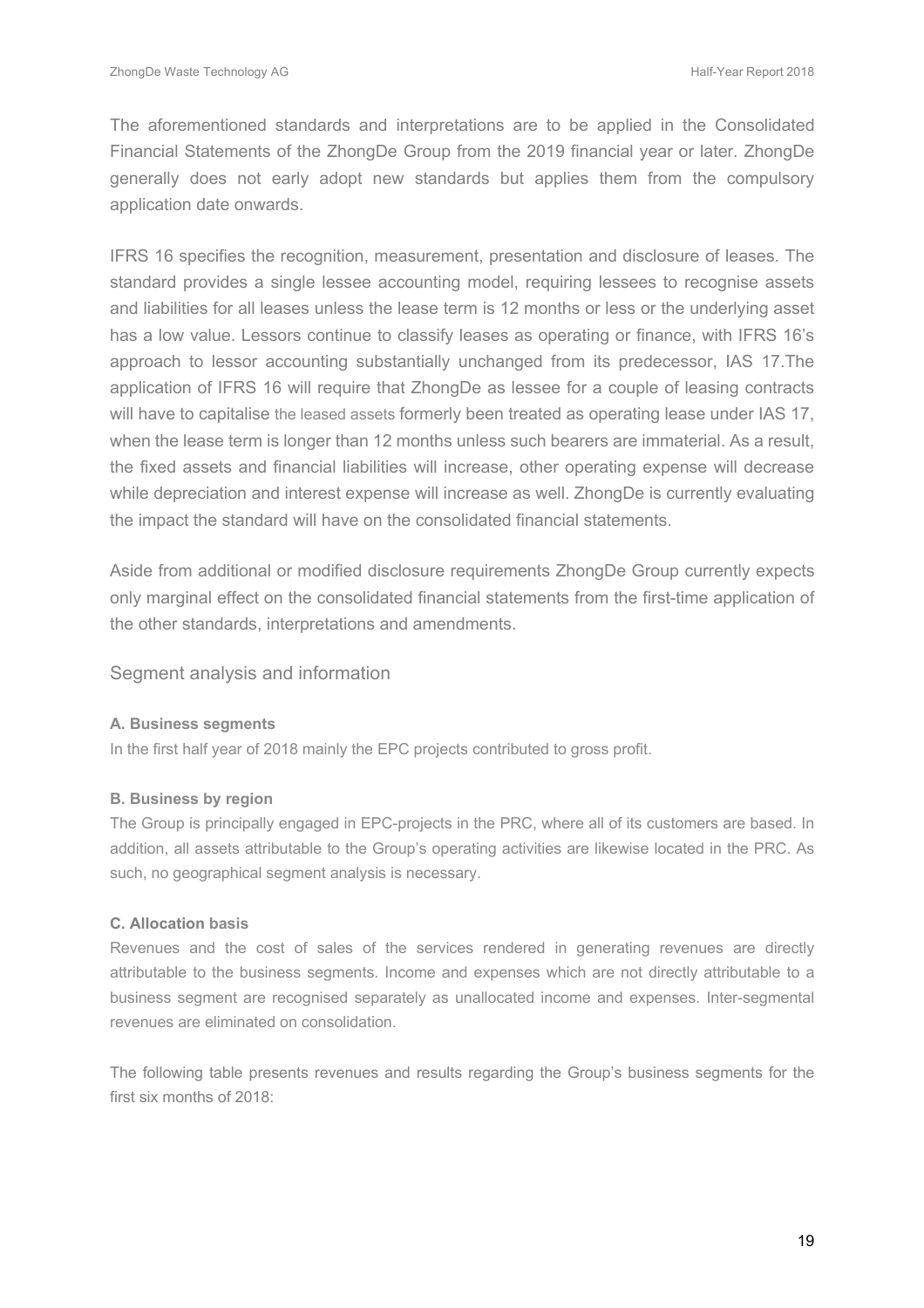The aforementioned standards and interpretations are to be applied in the Consolidated Financial Statements of the ZhongDe Group from the 2019 financial year or later. ZhongDe generally does not early adopt new standards but applies them from the compulsory application date onwards.

IFRS 16 specifies the recognition, measurement, presentation and disclosure of leases. The standard provides a single lessee accounting model, requiring lessees to recognise assets and liabilities for all leases unless the lease term is 12 months or less or the underlying asset has a low value. Lessors continue to classify leases as operating or finance, with IFRS 16's approach to lessor accounting substantially unchanged from its predecessor, IAS 17.The application of IFRS 16 will require that ZhongDe as lessee for a couple of leasing contracts will have to capitalise the leased assets formerly been treated as operating lease under IAS 17, when the lease term is longer than 12 months unless such bearers are immaterial. As a result, the fixed assets and financial liabilities will increase, other operating expense will decrease while depreciation and interest expense will increase as well. ZhongDe is currently evaluating the impact the standard will have on the consolidated financial statements.

Aside from additional or modified disclosure requirements ZhongDe Group currently expects only marginal effect on the consolidated financial statements from the first-time application of the other standards, interpretations and amendments.

Segment analysis and information

#### **A. Business segments**

In the first half year of 2018 mainly the EPC projects contributed to gross profit.

#### **B. Business by region**

The Group is principally engaged in EPC-projects in the PRC, where all of its customers are based. In addition, all assets attributable to the Group's operating activities are likewise located in the PRC. As such, no geographical segment analysis is necessary.

#### **C. Allocation basis**

Revenues and the cost of sales of the services rendered in generating revenues are directly attributable to the business segments. Income and expenses which are not directly attributable to a business segment are recognised separately as unallocated income and expenses. Inter-segmental revenues are eliminated on consolidation.

The following table presents revenues and results regarding the Group's business segments for the first six months of 2018: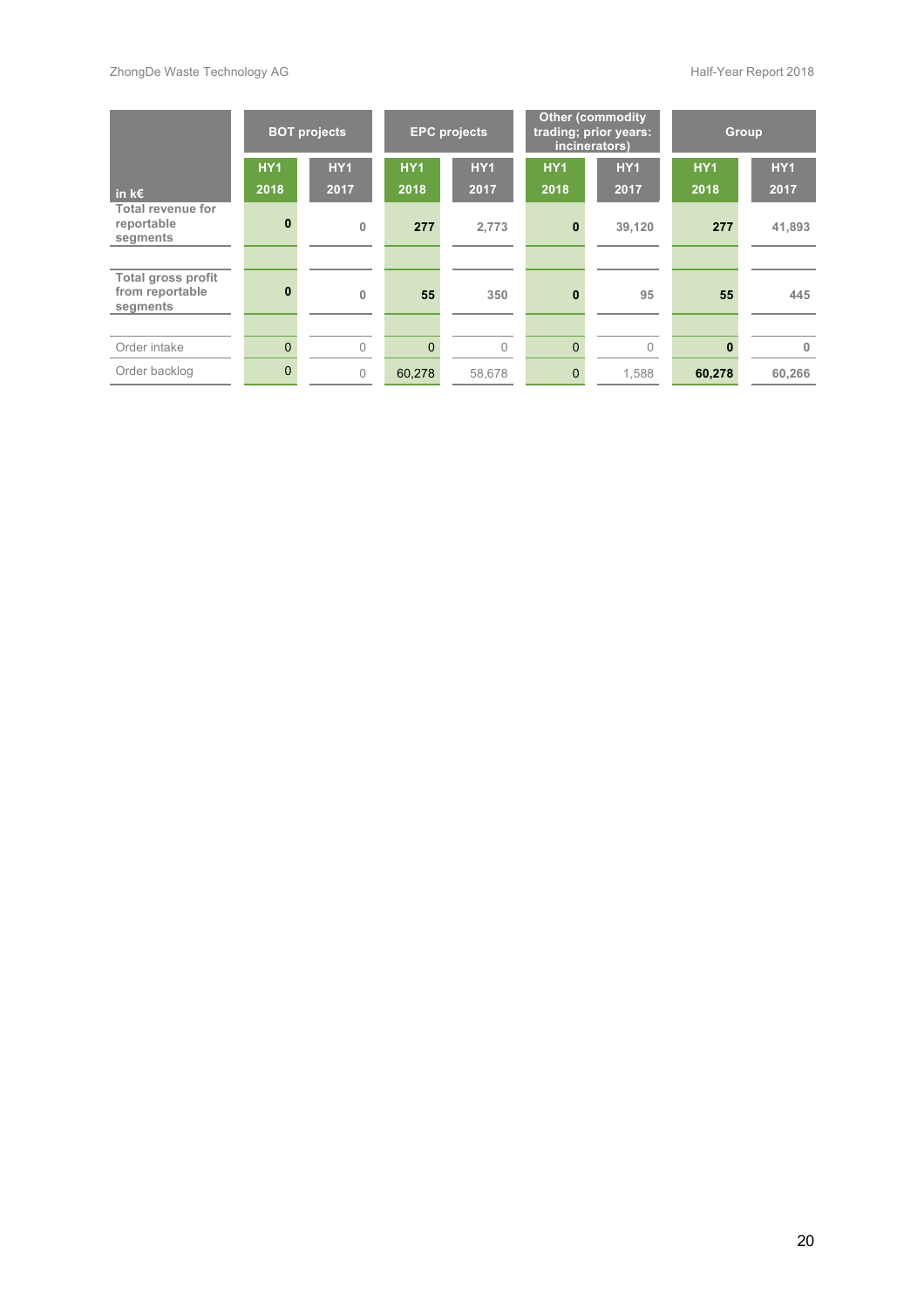|                                                          |                         | <b>BOT projects</b> | <b>EPC</b> projects     |                    | <b>Other (commodity</b><br>trading; prior years:<br>incinerators) |                    | Group                   |                    |
|----------------------------------------------------------|-------------------------|---------------------|-------------------------|--------------------|-------------------------------------------------------------------|--------------------|-------------------------|--------------------|
| in $k \in$                                               | HY <sub>1</sub><br>2018 | <b>HY1</b><br>2017  | HY <sub>1</sub><br>2018 | <b>HY1</b><br>2017 | HY <sub>1</sub><br>2018                                           | <b>HY1</b><br>2017 | HY <sub>1</sub><br>2018 | <b>HY1</b><br>2017 |
| Total revenue for<br>reportable<br>segments              | $\mathbf{0}$            | $\mathbf{0}$        | 277                     | 2,773              | $\bf{0}$                                                          | 39,120             | 277                     | 41,893             |
| <b>Total gross profit</b><br>from reportable<br>segments | $\bf{0}$                | $\mathbf{0}$        | 55                      | 350                | $\bf{0}$                                                          | 95                 | 55                      | 445                |
| Order intake                                             | $\Omega$                | $\Omega$            | $\Omega$                | $\Omega$           | $\Omega$                                                          | $\cap$             | $\bf{0}$                | $\mathbf{0}$       |
| Order backlog                                            | $\Omega$                | $\Omega$            | 60,278                  | 58,678             | $\Omega$                                                          | 1,588              | 60,278                  | 60,266             |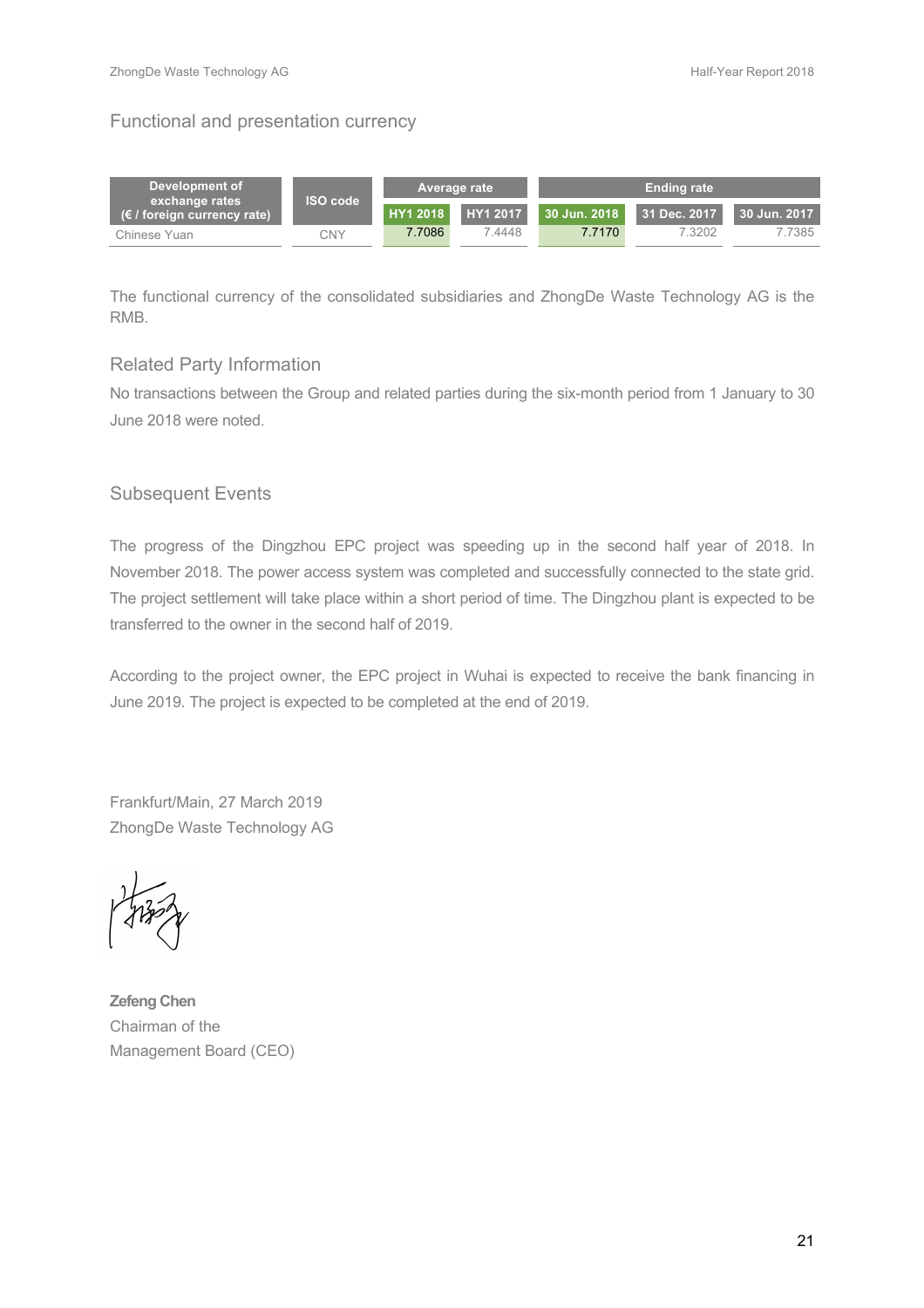#### Functional and presentation currency

| Development of                                         |                 |          | <b>Average rate</b> |              | <b>Ending rate</b> |              |
|--------------------------------------------------------|-----------------|----------|---------------------|--------------|--------------------|--------------|
| exchange rates<br>$(\epsilon /$ foreign currency rate) | <b>ISO</b> code | HY1 2018 | HY1 2017            | 30 Jun. 2018 | 31 Dec. 2017       | 30 Jun. 2017 |
| Chinese Yuan                                           | CNY             | 7.7086   | 4448                | 7.7170       | 7.3202             | 7.7385       |

The functional currency of the consolidated subsidiaries and ZhongDe Waste Technology AG is the RMB.

#### Related Party Information

No transactions between the Group and related parties during the six-month period from 1 January to 30 June 2018 were noted.

#### Subsequent Events

The progress of the Dingzhou EPC project was speeding up in the second half year of 2018. In November 2018. The power access system was completed and successfully connected to the state grid. The project settlement will take place within a short period of time. The Dingzhou plant is expected to be transferred to the owner in the second half of 2019.

According to the project owner, the EPC project in Wuhai is expected to receive the bank financing in June 2019. The project is expected to be completed at the end of 2019.

Frankfurt/Main, 27 March 2019 ZhongDe Waste Technology AG

**Zefeng Chen** Chairman of the Management Board (CEO)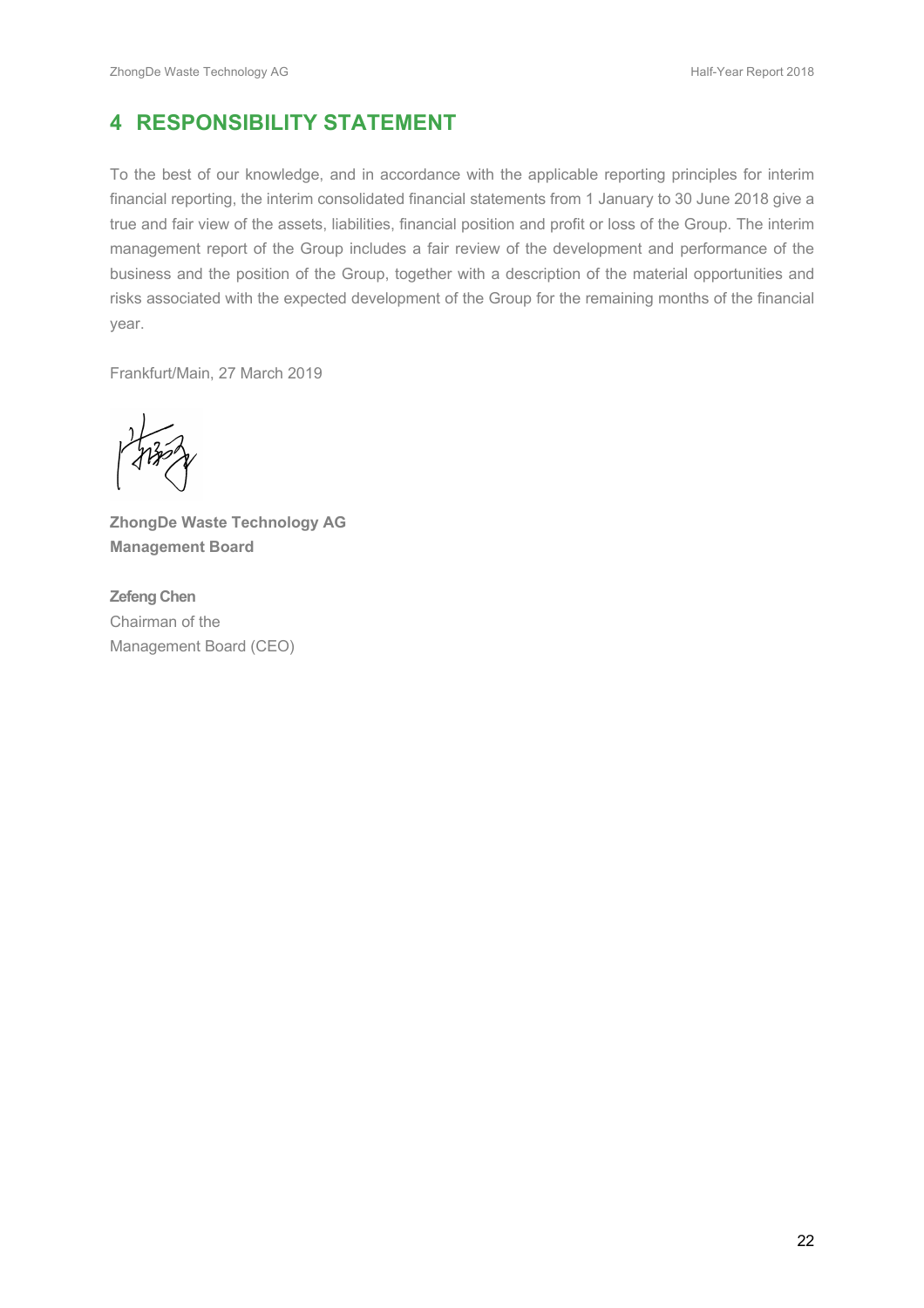# **4 RESPONSIBILITY STATEMENT**

To the best of our knowledge, and in accordance with the applicable reporting principles for interim financial reporting, the interim consolidated financial statements from 1 January to 30 June 2018 give a true and fair view of the assets, liabilities, financial position and profit or loss of the Group. The interim management report of the Group includes a fair review of the development and performance of the business and the position of the Group, together with a description of the material opportunities and risks associated with the expected development of the Group for the remaining months of the financial year.

Frankfurt/Main, 27 March 2019

**ZhongDe Waste Technology AG Management Board**

**Zefeng Chen** Chairman of the Management Board (CEO)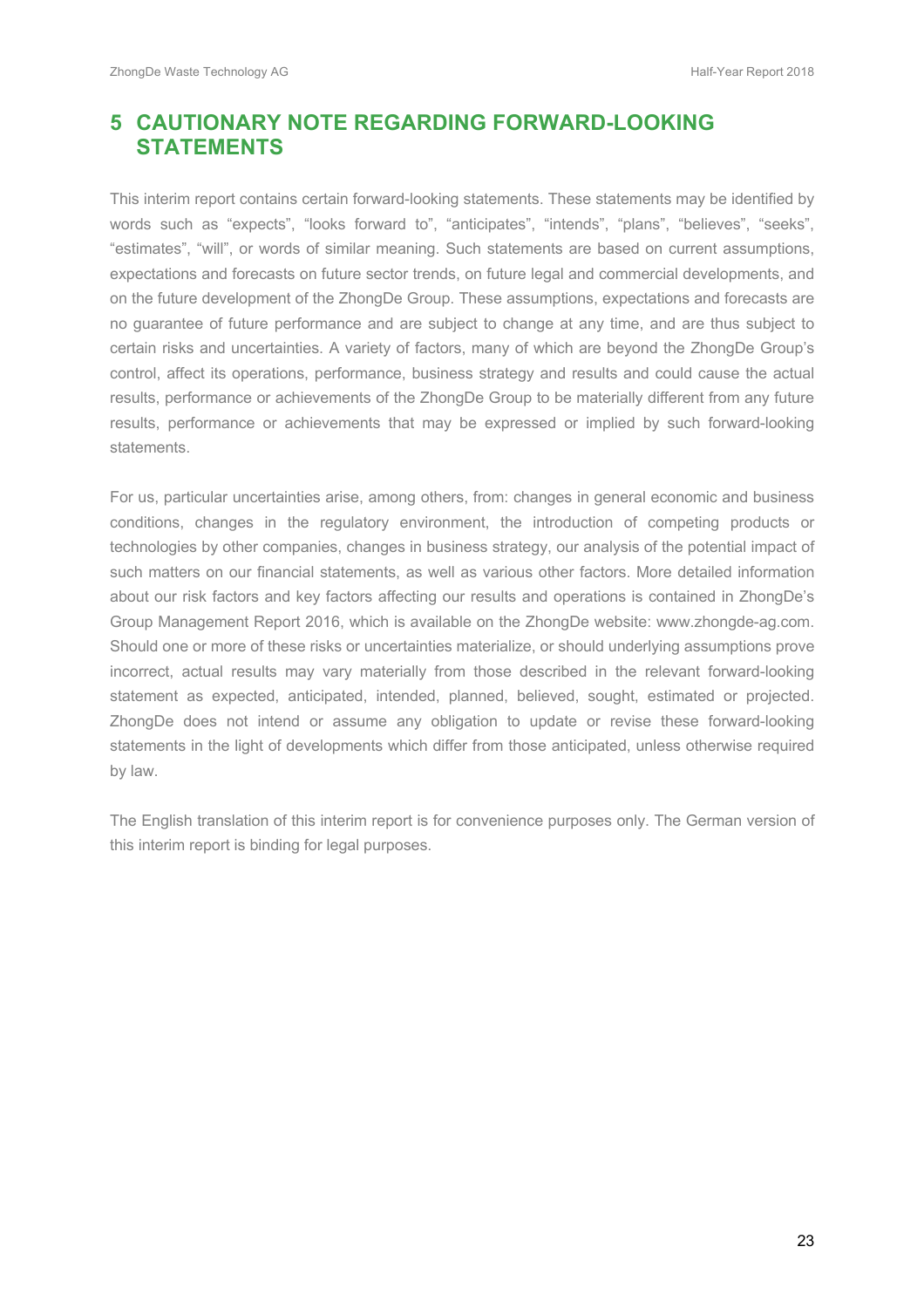# **5 CAUTIONARY NOTE REGARDING FORWARD-LOOKING STATEMENTS**

This interim report contains certain forward-looking statements. These statements may be identified by words such as "expects", "looks forward to", "anticipates", "intends", "plans", "believes", "seeks", "estimates", "will", or words of similar meaning. Such statements are based on current assumptions, expectations and forecasts on future sector trends, on future legal and commercial developments, and on the future development of the ZhongDe Group. These assumptions, expectations and forecasts are no guarantee of future performance and are subject to change at any time, and are thus subject to certain risks and uncertainties. A variety of factors, many of which are beyond the ZhongDe Group's control, affect its operations, performance, business strategy and results and could cause the actual results, performance or achievements of the ZhongDe Group to be materially different from any future results, performance or achievements that may be expressed or implied by such forward-looking statements.

For us, particular uncertainties arise, among others, from: changes in general economic and business conditions, changes in the regulatory environment, the introduction of competing products or technologies by other companies, changes in business strategy, our analysis of the potential impact of such matters on our financial statements, as well as various other factors. More detailed information about our risk factors and key factors affecting our results and operations is contained in ZhongDe's Group Management Report 2016, which is available on the ZhongDe website: www.zhongde-ag.com. Should one or more of these risks or uncertainties materialize, or should underlying assumptions prove incorrect, actual results may vary materially from those described in the relevant forward-looking statement as expected, anticipated, intended, planned, believed, sought, estimated or projected. ZhongDe does not intend or assume any obligation to update or revise these forward-looking statements in the light of developments which differ from those anticipated, unless otherwise required by law.

The English translation of this interim report is for convenience purposes only. The German version of this interim report is binding for legal purposes.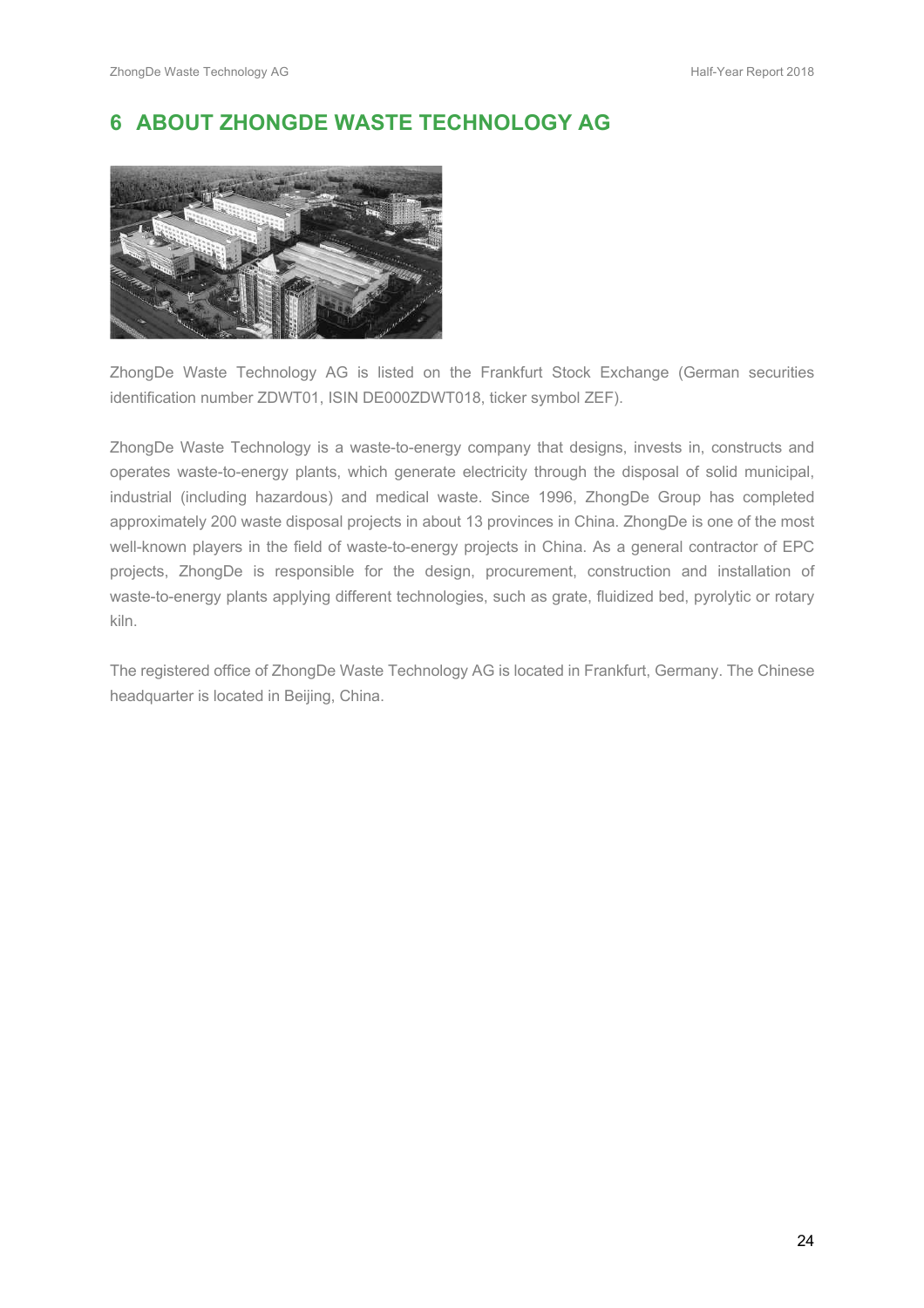# **6 ABOUT ZHONGDE WASTE TECHNOLOGY AG**



ZhongDe Waste Technology AG is listed on the Frankfurt Stock Exchange (German securities identification number ZDWT01, ISIN DE000ZDWT018, ticker symbol ZEF).

ZhongDe Waste Technology is a waste-to-energy company that designs, invests in, constructs and operates waste-to-energy plants, which generate electricity through the disposal of solid municipal, industrial (including hazardous) and medical waste. Since 1996, ZhongDe Group has completed approximately 200 waste disposal projects in about 13 provinces in China. ZhongDe is one of the most well-known players in the field of waste-to-energy projects in China. As a general contractor of EPC projects, ZhongDe is responsible for the design, procurement, construction and installation of waste-to-energy plants applying different technologies, such as grate, fluidized bed, pyrolytic or rotary kiln.

The registered office of ZhongDe Waste Technology AG is located in Frankfurt, Germany. The Chinese headquarter is located in Beijing, China.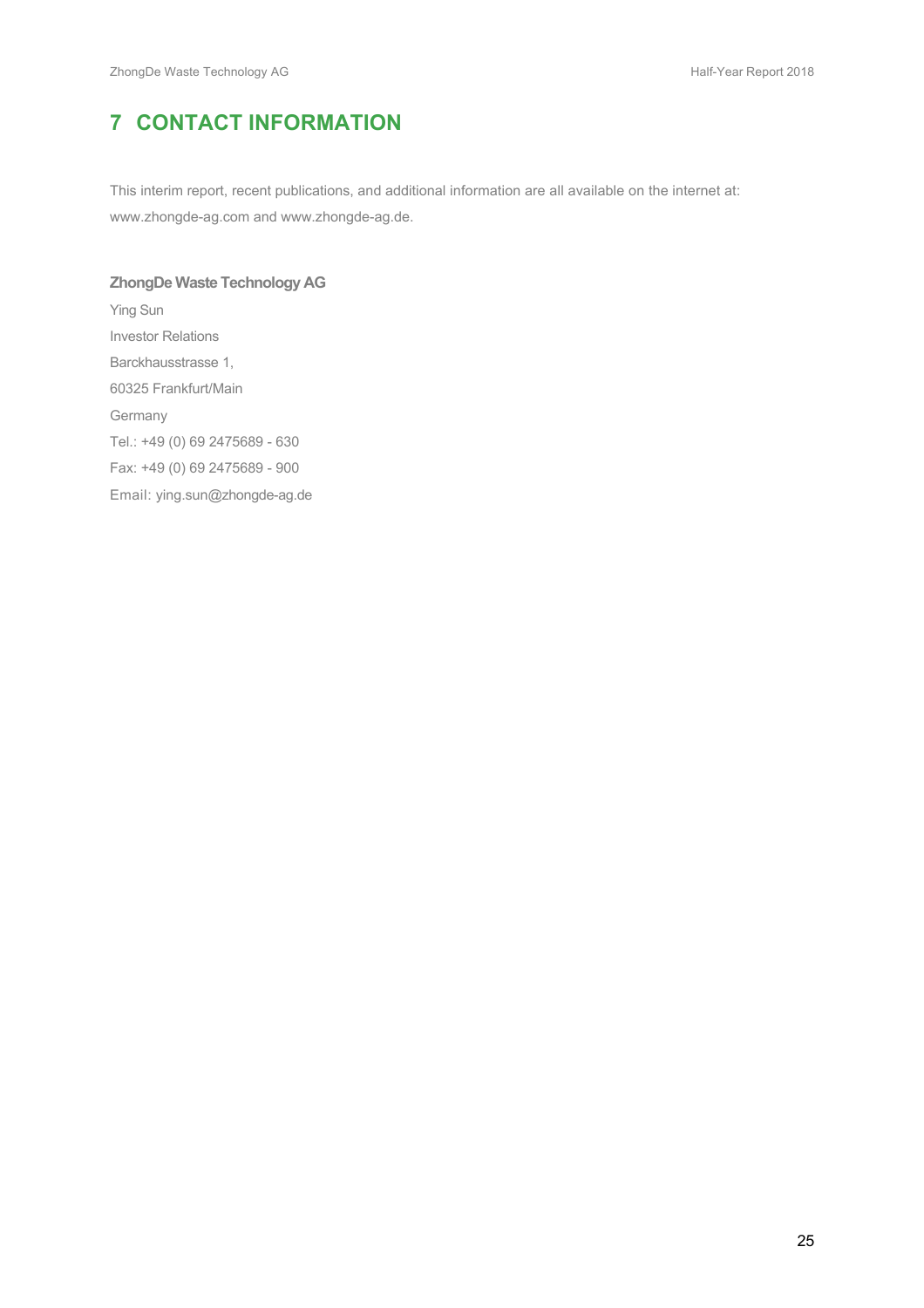# **7 CONTACT INFORMATION**

This interim report, recent publications, and additional information are all available on the internet at: www.zhongde-ag.com and www.zhongde-ag.de.

# **ZhongDe Waste Technology AG** Ying Sun Investor Relations Barckhausstrasse 1, 60325 Frankfurt/Main Germany Tel.: +49 (0) 69 2475689 - 630 Fax: +49 (0) 69 2475689 - 900 Email: ying.sun@zhongde-ag.de